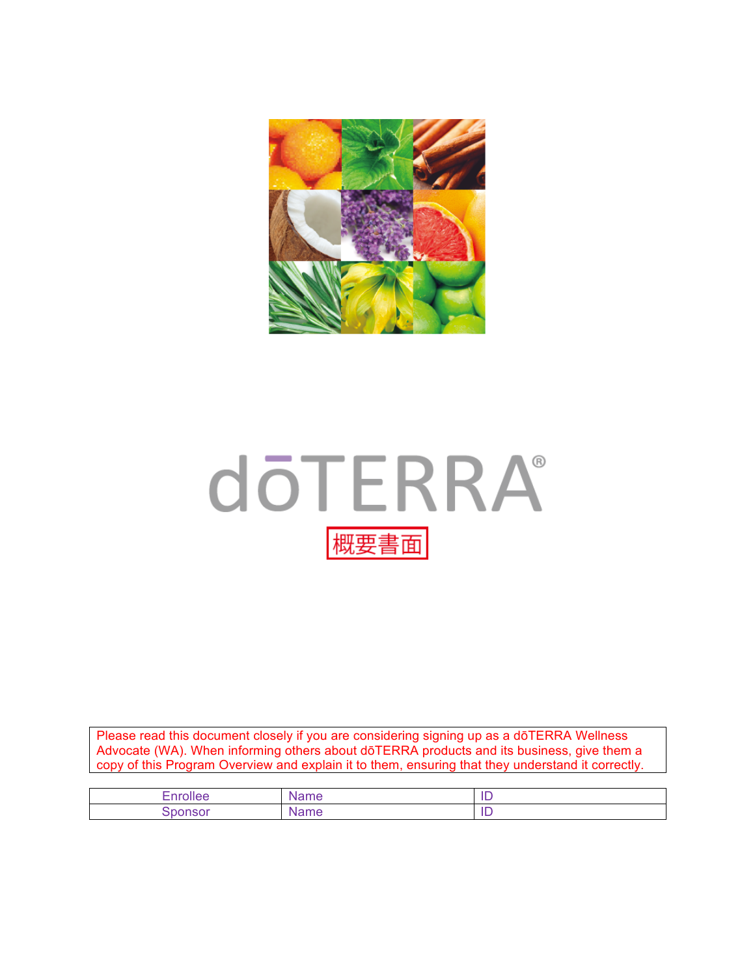

# **döTERRA®** 概要書面

Please read this document closely if you are considering signing up as a dōTERRA Wellness Advocate (WA). When informing others about dōTERRA products and its business, give them a copy of this Program Overview and explain it to them, ensuring that they understand it correctly.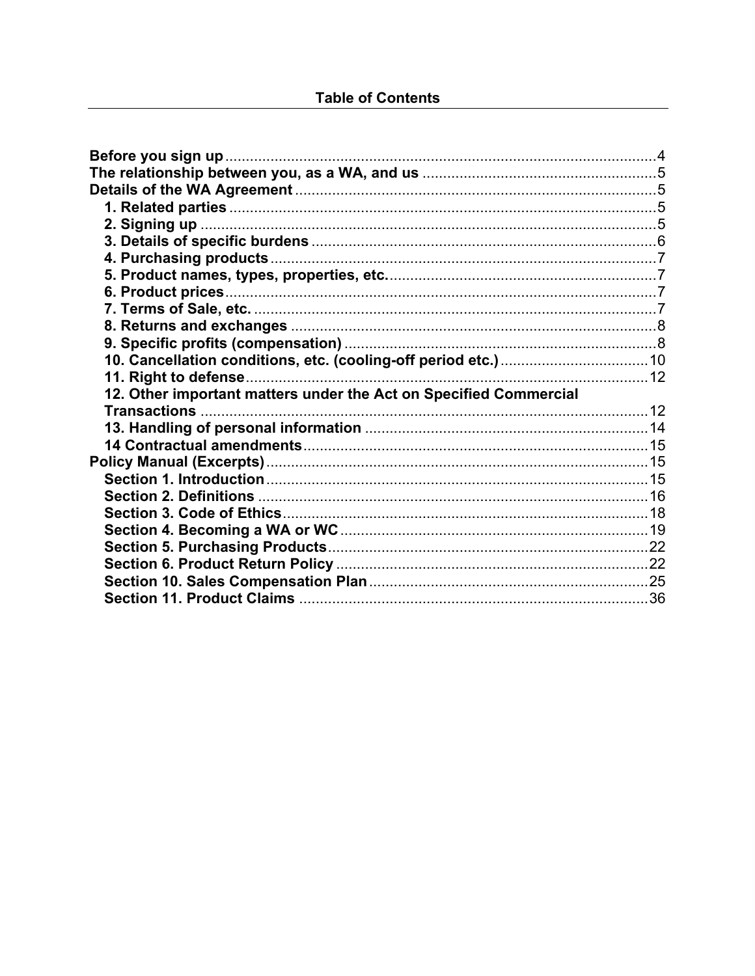| 11. Right to defense                                              |  |
|-------------------------------------------------------------------|--|
| 12. Other important matters under the Act on Specified Commercial |  |
|                                                                   |  |
|                                                                   |  |
|                                                                   |  |
|                                                                   |  |
|                                                                   |  |
|                                                                   |  |
|                                                                   |  |
|                                                                   |  |
|                                                                   |  |
|                                                                   |  |
|                                                                   |  |
|                                                                   |  |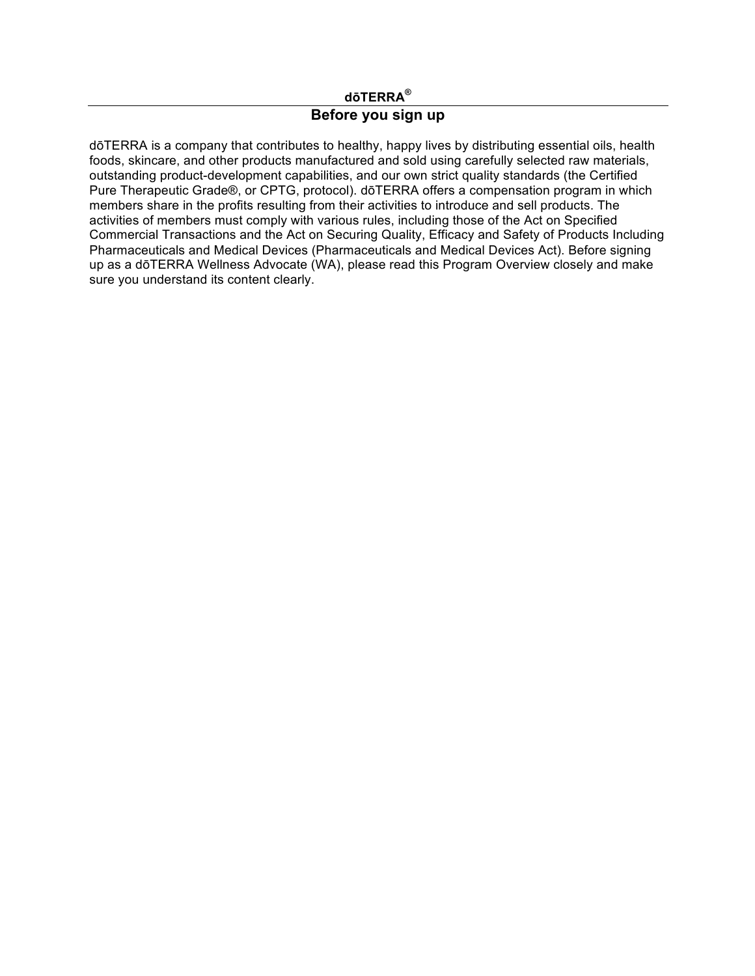#### **dōTERRA®**

#### **Before you sign up**

dōTERRA is a company that contributes to healthy, happy lives by distributing essential oils, health foods, skincare, and other products manufactured and sold using carefully selected raw materials, outstanding product-development capabilities, and our own strict quality standards (the Certified Pure Therapeutic Grade®, or CPTG, protocol). dōTERRA offers a compensation program in which members share in the profits resulting from their activities to introduce and sell products. The activities of members must comply with various rules, including those of the Act on Specified Commercial Transactions and the Act on Securing Quality, Efficacy and Safety of Products Including Pharmaceuticals and Medical Devices (Pharmaceuticals and Medical Devices Act). Before signing up as a dōTERRA Wellness Advocate (WA), please read this Program Overview closely and make sure you understand its content clearly.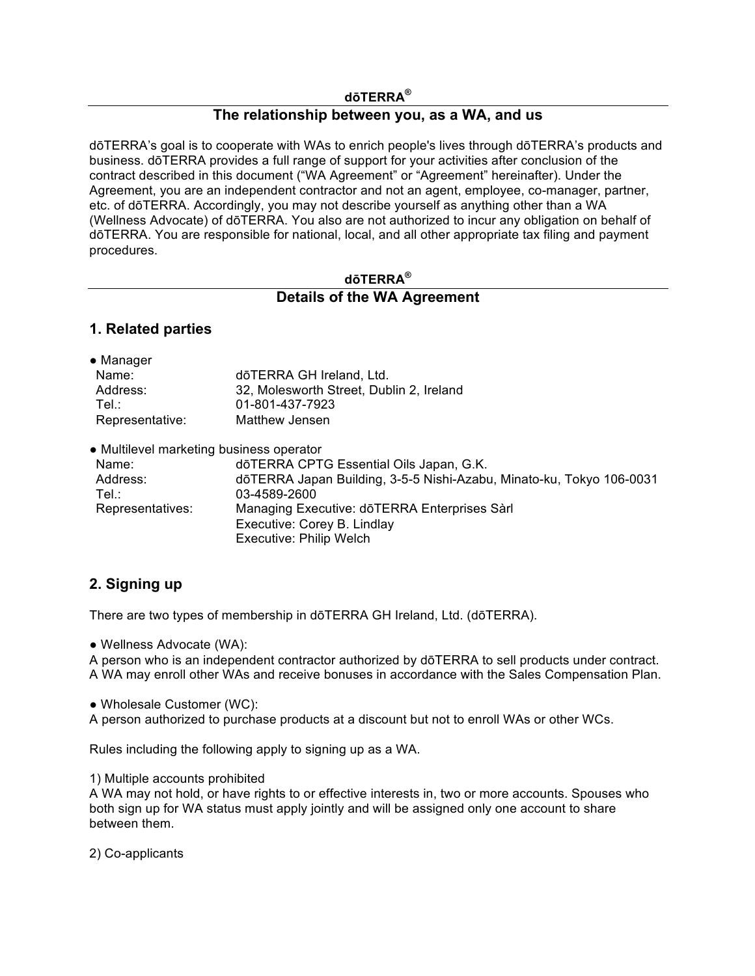#### **dōTERRA®**

#### **The relationship between you, as a WA, and us**

dōTERRA's goal is to cooperate with WAs to enrich people's lives through dōTERRA's products and business. dōTERRA provides a full range of support for your activities after conclusion of the contract described in this document ("WA Agreement" or "Agreement" hereinafter). Under the Agreement, you are an independent contractor and not an agent, employee, co-manager, partner, etc. of dōTERRA. Accordingly, you may not describe yourself as anything other than a WA (Wellness Advocate) of dōTERRA. You also are not authorized to incur any obligation on behalf of dōTERRA. You are responsible for national, local, and all other appropriate tax filing and payment procedures.

#### **dōTERRA®**

#### **Details of the WA Agreement**

#### **1. Related parties**

| • Manager                                |                                                                      |
|------------------------------------------|----------------------------------------------------------------------|
| Name:                                    | dōTERRA GH Ireland, Ltd.                                             |
| Address:                                 | 32, Molesworth Street, Dublin 2, Ireland                             |
| Tel.∶                                    | 01-801-437-7923                                                      |
| Representative:                          | <b>Matthew Jensen</b>                                                |
| • Multilevel marketing business operator |                                                                      |
| Name:                                    | dōTERRA CPTG Essential Oils Japan, G.K.                              |
| Address:                                 | dōTERRA Japan Building, 3-5-5 Nishi-Azabu, Minato-ku, Tokyo 106-0031 |
|                                          |                                                                      |

| Address:         | dōTERRA Japan Building, 3-5-5 Nishi-Azabu, Minato-ku, Tokyo 106-0031 |
|------------------|----------------------------------------------------------------------|
| Tel.:            | 03-4589-2600                                                         |
| Representatives: | Managing Executive: dōTERRA Enterprises Sàrl                         |
|                  | Executive: Corey B. Lindlay                                          |
|                  | Executive: Philip Welch                                              |
|                  |                                                                      |

#### **2. Signing up**

There are two types of membership in dōTERRA GH Ireland, Ltd. (dōTERRA).

● Wellness Advocate (WA):

A person who is an independent contractor authorized by dōTERRA to sell products under contract. A WA may enroll other WAs and receive bonuses in accordance with the Sales Compensation Plan.

● Wholesale Customer (WC):

A person authorized to purchase products at a discount but not to enroll WAs or other WCs.

Rules including the following apply to signing up as a WA.

1) Multiple accounts prohibited

A WA may not hold, or have rights to or effective interests in, two or more accounts. Spouses who both sign up for WA status must apply jointly and will be assigned only one account to share between them.

2) Co-applicants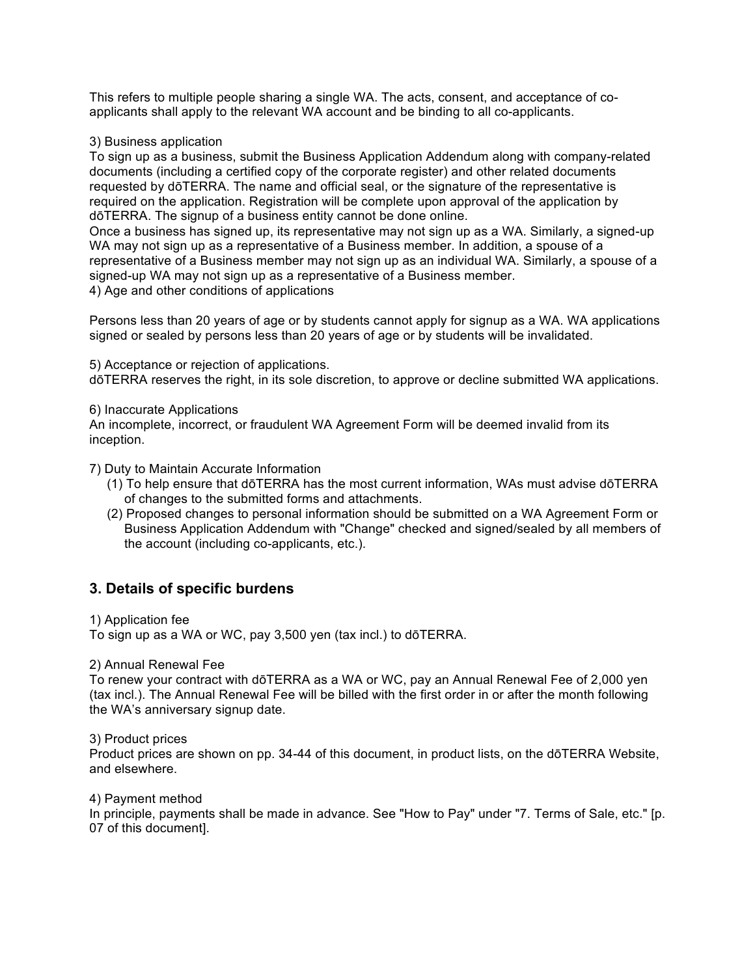This refers to multiple people sharing a single WA. The acts, consent, and acceptance of coapplicants shall apply to the relevant WA account and be binding to all co-applicants.

3) Business application

To sign up as a business, submit the Business Application Addendum along with company-related documents (including a certified copy of the corporate register) and other related documents requested by dōTERRA. The name and official seal, or the signature of the representative is required on the application. Registration will be complete upon approval of the application by dōTERRA. The signup of a business entity cannot be done online.

Once a business has signed up, its representative may not sign up as a WA. Similarly, a signed-up WA may not sign up as a representative of a Business member. In addition, a spouse of a representative of a Business member may not sign up as an individual WA. Similarly, a spouse of a signed-up WA may not sign up as a representative of a Business member.

4) Age and other conditions of applications

Persons less than 20 years of age or by students cannot apply for signup as a WA. WA applications signed or sealed by persons less than 20 years of age or by students will be invalidated.

5) Acceptance or rejection of applications.

dōTERRA reserves the right, in its sole discretion, to approve or decline submitted WA applications.

6) Inaccurate Applications

An incomplete, incorrect, or fraudulent WA Agreement Form will be deemed invalid from its inception.

7) Duty to Maintain Accurate Information

- (1) To help ensure that dōTERRA has the most current information, WAs must advise dōTERRA of changes to the submitted forms and attachments.
- (2) Proposed changes to personal information should be submitted on a WA Agreement Form or Business Application Addendum with "Change" checked and signed/sealed by all members of the account (including co-applicants, etc.).

#### **3. Details of specific burdens**

1) Application fee

To sign up as a WA or WC, pay 3,500 yen (tax incl.) to dōTERRA.

2) Annual Renewal Fee

To renew your contract with dōTERRA as a WA or WC, pay an Annual Renewal Fee of 2,000 yen (tax incl.). The Annual Renewal Fee will be billed with the first order in or after the month following the WA's anniversary signup date.

3) Product prices

Product prices are shown on pp. 34-44 of this document, in product lists, on the dōTERRA Website, and elsewhere.

4) Payment method

In principle, payments shall be made in advance. See "How to Pay" under "7. Terms of Sale, etc." [p. 07 of this document].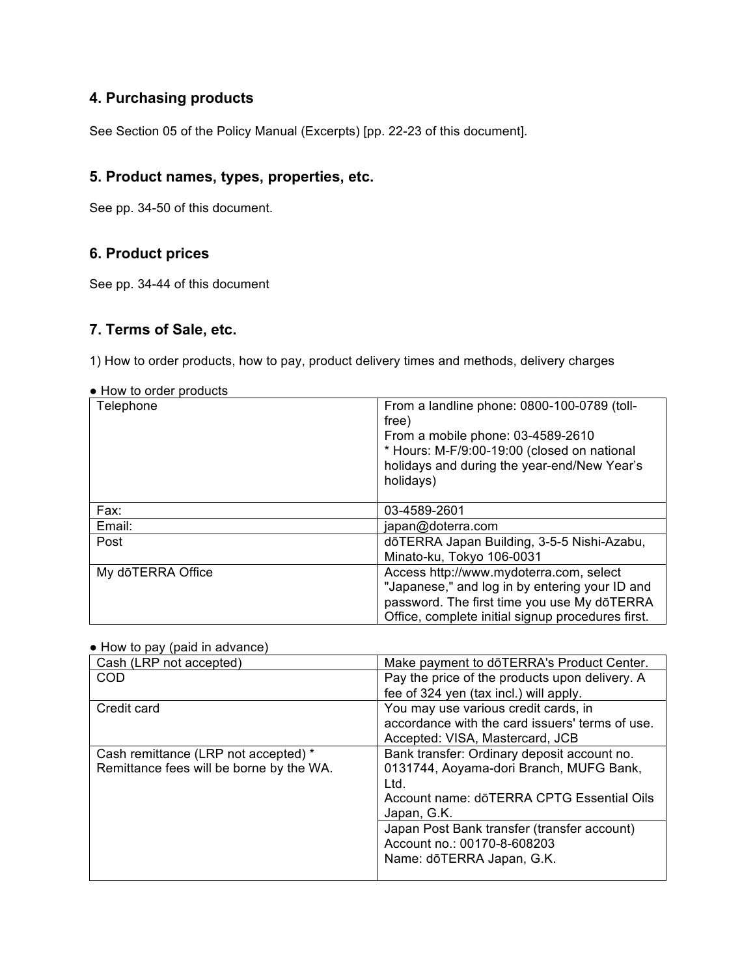## **4. Purchasing products**

See Section 05 of the Policy Manual (Excerpts) [pp. 22-23 of this document].

#### **5. Product names, types, properties, etc.**

See pp. 34-50 of this document.

## **6. Product prices**

See pp. 34-44 of this document

## **7. Terms of Sale, etc.**

1) How to order products, how to pay, product delivery times and methods, delivery charges

| Telephone         | From a landline phone: 0800-100-0789 (toll-<br>free)                                                                                                                                          |
|-------------------|-----------------------------------------------------------------------------------------------------------------------------------------------------------------------------------------------|
|                   | From a mobile phone: 03-4589-2610                                                                                                                                                             |
|                   | * Hours: M-F/9:00-19:00 (closed on national<br>holidays and during the year-end/New Year's<br>holidays)                                                                                       |
| Fax:              | 03-4589-2601                                                                                                                                                                                  |
| Email:            | japan@doterra.com                                                                                                                                                                             |
| Post              | dōTERRA Japan Building, 3-5-5 Nishi-Azabu,                                                                                                                                                    |
|                   | Minato-ku, Tokyo 106-0031                                                                                                                                                                     |
| My dōTERRA Office | Access http://www.mydoterra.com, select<br>"Japanese," and log in by entering your ID and<br>password. The first time you use My dōTERRA<br>Office, complete initial signup procedures first. |

● How to order products

#### ● How to pay (paid in advance)

| Cash (LRP not accepted)                  | Make payment to doTERRA's Product Center.       |
|------------------------------------------|-------------------------------------------------|
| COD                                      | Pay the price of the products upon delivery. A  |
|                                          | fee of 324 yen (tax incl.) will apply.          |
| Credit card                              | You may use various credit cards, in            |
|                                          | accordance with the card issuers' terms of use. |
|                                          | Accepted: VISA, Mastercard, JCB                 |
| Cash remittance (LRP not accepted) *     | Bank transfer: Ordinary deposit account no.     |
| Remittance fees will be borne by the WA. | 0131744, Aoyama-dori Branch, MUFG Bank,         |
|                                          | Ltd.                                            |
|                                          | Account name: dōTERRA CPTG Essential Oils       |
|                                          | Japan, G.K.                                     |
|                                          | Japan Post Bank transfer (transfer account)     |
|                                          | Account no.: 00170-8-608203                     |
|                                          | Name: dōTERRA Japan, G.K.                       |
|                                          |                                                 |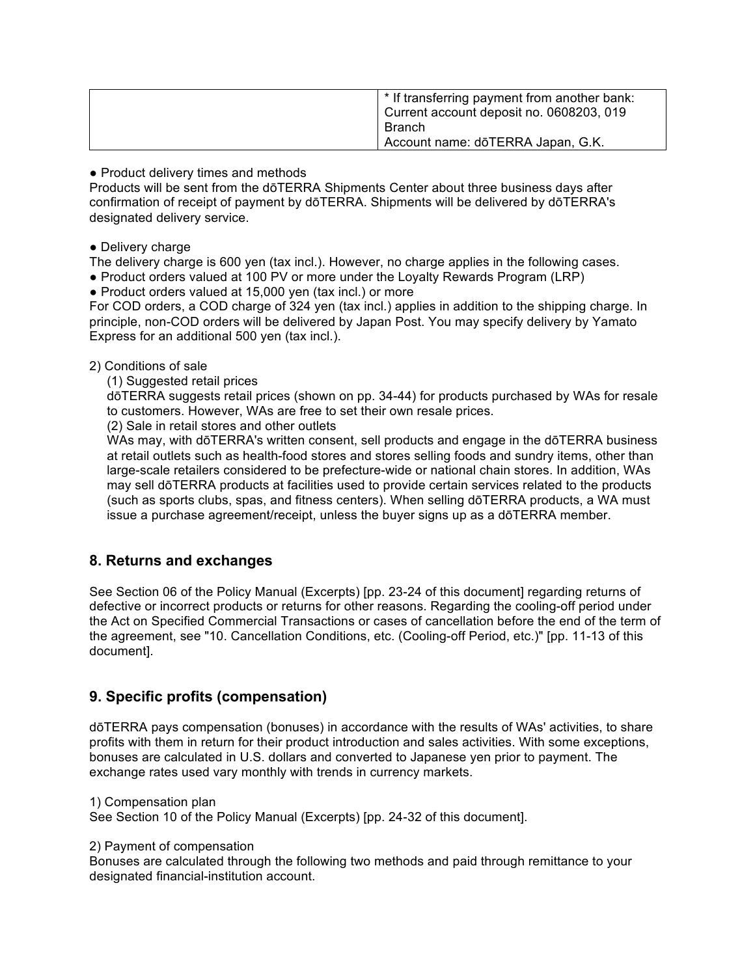| * If transferring payment from another bank:<br>Current account deposit no. 0608203, 019 |
|------------------------------------------------------------------------------------------|
| <b>Branch</b>                                                                            |
| Account name: dōTERRA Japan, G.K.                                                        |

• Product delivery times and methods

Products will be sent from the dōTERRA Shipments Center about three business days after confirmation of receipt of payment by dōTERRA. Shipments will be delivered by dōTERRA's designated delivery service.

• Delivery charge

The delivery charge is 600 yen (tax incl.). However, no charge applies in the following cases. ● Product orders valued at 100 PV or more under the Loyalty Rewards Program (LRP)

● Product orders valued at 15,000 yen (tax incl.) or more

For COD orders, a COD charge of 324 yen (tax incl.) applies in addition to the shipping charge. In principle, non-COD orders will be delivered by Japan Post. You may specify delivery by Yamato Express for an additional 500 yen (tax incl.).

#### 2) Conditions of sale

(1) Suggested retail prices

dōTERRA suggests retail prices (shown on pp. 34-44) for products purchased by WAs for resale to customers. However, WAs are free to set their own resale prices.

(2) Sale in retail stores and other outlets

WAs may, with dōTERRA's written consent, sell products and engage in the dōTERRA business at retail outlets such as health-food stores and stores selling foods and sundry items, other than large-scale retailers considered to be prefecture-wide or national chain stores. In addition, WAs may sell dōTERRA products at facilities used to provide certain services related to the products (such as sports clubs, spas, and fitness centers). When selling dōTERRA products, a WA must issue a purchase agreement/receipt, unless the buyer signs up as a dōTERRA member.

#### **8. Returns and exchanges**

See Section 06 of the Policy Manual (Excerpts) [pp. 23-24 of this document] regarding returns of defective or incorrect products or returns for other reasons. Regarding the cooling-off period under the Act on Specified Commercial Transactions or cases of cancellation before the end of the term of the agreement, see "10. Cancellation Conditions, etc. (Cooling-off Period, etc.)" [pp. 11-13 of this document].

#### **9. Specific profits (compensation)**

dōTERRA pays compensation (bonuses) in accordance with the results of WAs' activities, to share profits with them in return for their product introduction and sales activities. With some exceptions, bonuses are calculated in U.S. dollars and converted to Japanese yen prior to payment. The exchange rates used vary monthly with trends in currency markets.

1) Compensation plan

See Section 10 of the Policy Manual (Excerpts) [pp. 24-32 of this document].

2) Payment of compensation

Bonuses are calculated through the following two methods and paid through remittance to your designated financial-institution account.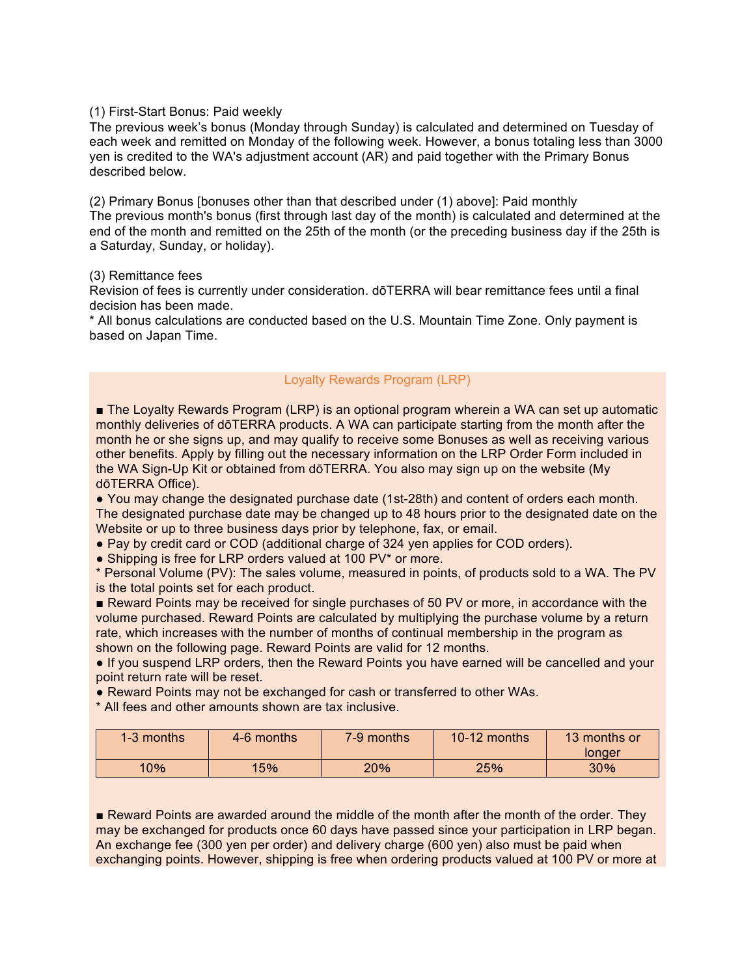#### (1) First-Start Bonus: Paid weekly

The previous week's bonus (Monday through Sunday) is calculated and determined on Tuesday of each week and remitted on Monday of the following week. However, a bonus totaling less than 3000 yen is credited to the WA's adjustment account (AR) and paid together with the Primary Bonus described below.

(2) Primary Bonus [bonuses other than that described under (1) above]: Paid monthly The previous month's bonus (first through last day of the month) is calculated and determined at the end of the month and remitted on the 25th of the month (or the preceding business day if the 25th is a Saturday, Sunday, or holiday).

#### (3) Remittance fees

Revision of fees is currently under consideration. dōTERRA will bear remittance fees until a final decision has been made.

\* All bonus calculations are conducted based on the U.S. Mountain Time Zone. Only payment is based on Japan Time.

#### Loyalty Rewards Program (LRP)

■ The Loyalty Rewards Program (LRP) is an optional program wherein a WA can set up automatic monthly deliveries of dōTERRA products. A WA can participate starting from the month after the month he or she signs up, and may qualify to receive some Bonuses as well as receiving various other benefits. Apply by filling out the necessary information on the LRP Order Form included in the WA Sign-Up Kit or obtained from dōTERRA. You also may sign up on the website (My dōTERRA Office).

● You may change the designated purchase date (1st-28th) and content of orders each month. The designated purchase date may be changed up to 48 hours prior to the designated date on the Website or up to three business days prior by telephone, fax, or email.

● Pay by credit card or COD (additional charge of 324 yen applies for COD orders).

• Shipping is free for LRP orders valued at 100 PV\* or more.

\* Personal Volume (PV): The sales volume, measured in points, of products sold to a WA. The PV is the total points set for each product.

■ Reward Points may be received for single purchases of 50 PV or more, in accordance with the volume purchased. Reward Points are calculated by multiplying the purchase volume by a return rate, which increases with the number of months of continual membership in the program as shown on the following page. Reward Points are valid for 12 months.

● If you suspend LRP orders, then the Reward Points you have earned will be cancelled and your point return rate will be reset.

• Reward Points may not be exchanged for cash or transferred to other WAs.

\* All fees and other amounts shown are tax inclusive.

| 1-3 months | 4-6 months | 7-9 months | 10-12 months | 13 months or<br>Ionger |
|------------|------------|------------|--------------|------------------------|
| 10%        | 15%        | 20%        | 25%          | 30%                    |

■ Reward Points are awarded around the middle of the month after the month of the order. They may be exchanged for products once 60 days have passed since your participation in LRP began. An exchange fee (300 yen per order) and delivery charge (600 yen) also must be paid when exchanging points. However, shipping is free when ordering products valued at 100 PV or more at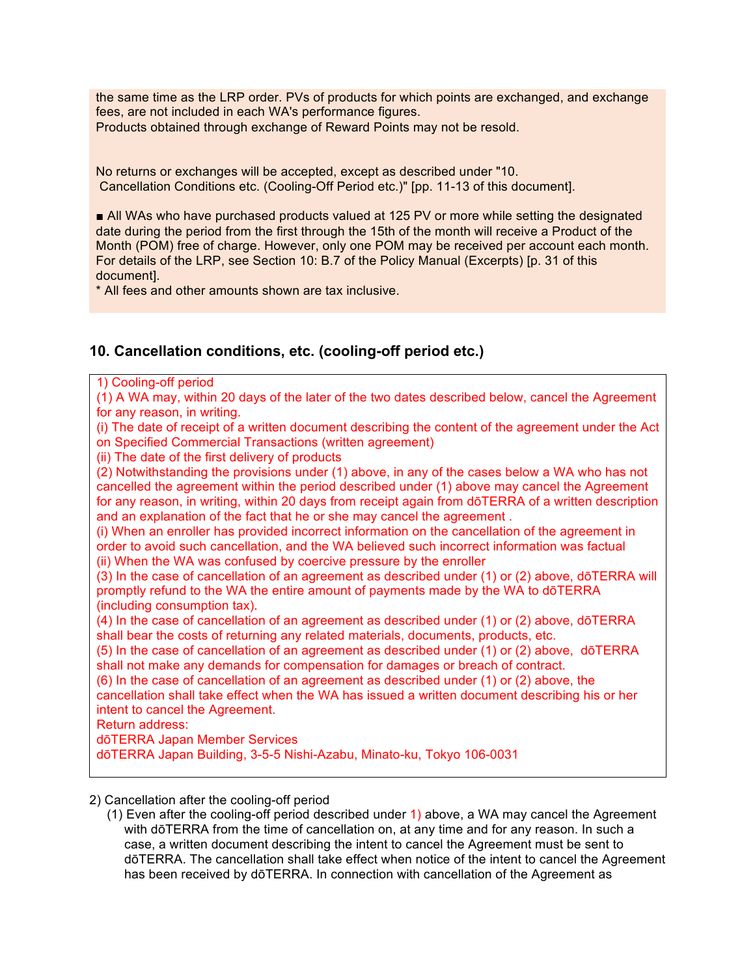the same time as the LRP order. PVs of products for which points are exchanged, and exchange fees, are not included in each WA's performance figures. Products obtained through exchange of Reward Points may not be resold.

No returns or exchanges will be accepted, except as described under "10. Cancellation Conditions etc. (Cooling-Off Period etc.)" [pp. 11-13 of this document].

■ All WAs who have purchased products valued at 125 PV or more while setting the designated date during the period from the first through the 15th of the month will receive a Product of the Month (POM) free of charge. However, only one POM may be received per account each month. For details of the LRP, see Section 10: B.7 of the Policy Manual (Excerpts) [p. 31 of this document].

\* All fees and other amounts shown are tax inclusive.

#### **10. Cancellation conditions, etc. (cooling-off period etc.)**

1) Cooling-off period

(1) A WA may, within 20 days of the later of the two dates described below, cancel the Agreement for any reason, in writing.

(i) The date of receipt of a written document describing the content of the agreement under the Act on Specified Commercial Transactions (written agreement)

(ii) The date of the first delivery of products

(2) Notwithstanding the provisions under (1) above, in any of the cases below a WA who has not cancelled the agreement within the period described under (1) above may cancel the Agreement for any reason, in writing, within 20 days from receipt again from dōTERRA of a written description and an explanation of the fact that he or she may cancel the agreement .

(i) When an enroller has provided incorrect information on the cancellation of the agreement in order to avoid such cancellation, and the WA believed such incorrect information was factual (ii) When the WA was confused by coercive pressure by the enroller

(3) In the case of cancellation of an agreement as described under (1) or (2) above, dōTERRA will promptly refund to the WA the entire amount of payments made by the WA to dōTERRA (including consumption tax).

(4) In the case of cancellation of an agreement as described under (1) or (2) above, dōTERRA shall bear the costs of returning any related materials, documents, products, etc.

(5) In the case of cancellation of an agreement as described under (1) or (2) above, dōTERRA shall not make any demands for compensation for damages or breach of contract.

(6) In the case of cancellation of an agreement as described under (1) or (2) above, the cancellation shall take effect when the WA has issued a written document describing his or her intent to cancel the Agreement.

Return address:

dōTERRA Japan Member Services

dōTERRA Japan Building, 3-5-5 Nishi-Azabu, Minato-ku, Tokyo 106-0031

2) Cancellation after the cooling-off period

(1) Even after the cooling-off period described under 1) above, a WA may cancel the Agreement with dōTERRA from the time of cancellation on, at any time and for any reason. In such a case, a written document describing the intent to cancel the Agreement must be sent to dōTERRA. The cancellation shall take effect when notice of the intent to cancel the Agreement has been received by dōTERRA. In connection with cancellation of the Agreement as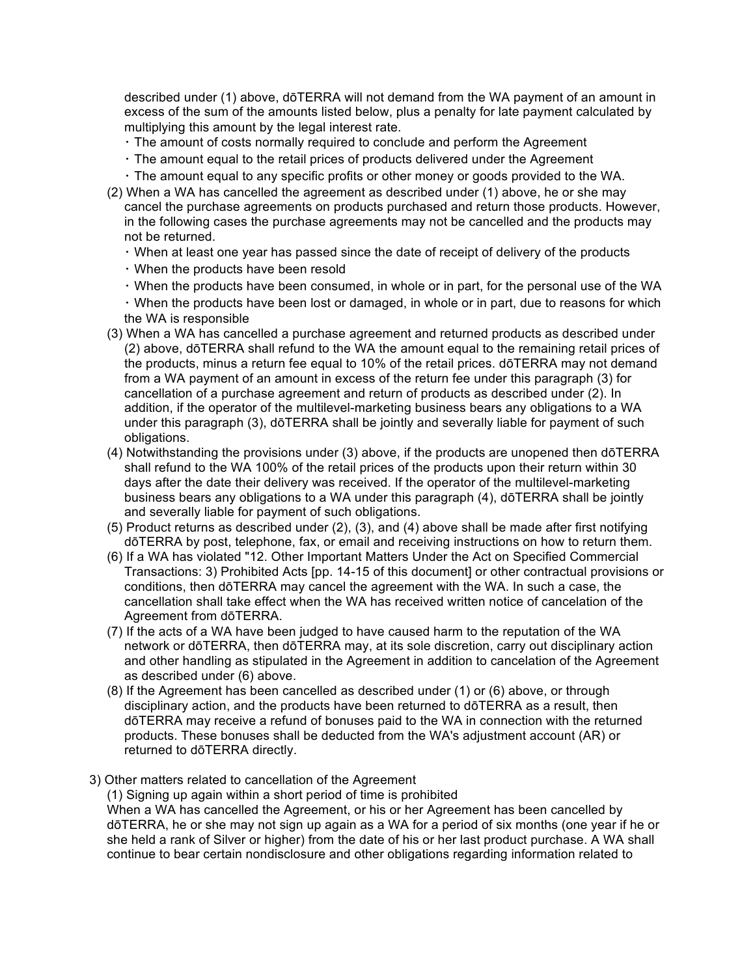described under (1) above, dōTERRA will not demand from the WA payment of an amount in excess of the sum of the amounts listed below, plus a penalty for late payment calculated by multiplying this amount by the legal interest rate.

- The amount of costs normally required to conclude and perform the Agreement
- The amount equal to the retail prices of products delivered under the Agreement
- The amount equal to any specific profits or other money or goods provided to the WA.
- (2) When a WA has cancelled the agreement as described under (1) above, he or she may cancel the purchase agreements on products purchased and return those products. However, in the following cases the purchase agreements may not be cancelled and the products may not be returned.
	- When at least one year has passed since the date of receipt of delivery of the products
	- When the products have been resold
	- When the products have been consumed, in whole or in part, for the personal use of the WA
	- When the products have been lost or damaged, in whole or in part, due to reasons for which the WA is responsible
- (3) When a WA has cancelled a purchase agreement and returned products as described under (2) above, dōTERRA shall refund to the WA the amount equal to the remaining retail prices of the products, minus a return fee equal to 10% of the retail prices. dōTERRA may not demand from a WA payment of an amount in excess of the return fee under this paragraph (3) for cancellation of a purchase agreement and return of products as described under (2). In addition, if the operator of the multilevel-marketing business bears any obligations to a WA under this paragraph (3), dōTERRA shall be jointly and severally liable for payment of such obligations.
- (4) Notwithstanding the provisions under (3) above, if the products are unopened then dōTERRA shall refund to the WA 100% of the retail prices of the products upon their return within 30 days after the date their delivery was received. If the operator of the multilevel-marketing business bears any obligations to a WA under this paragraph (4), dōTERRA shall be jointly and severally liable for payment of such obligations.
- (5) Product returns as described under (2), (3), and (4) above shall be made after first notifying dōTERRA by post, telephone, fax, or email and receiving instructions on how to return them.
- (6) If a WA has violated "12. Other Important Matters Under the Act on Specified Commercial Transactions: 3) Prohibited Acts [pp. 14-15 of this document] or other contractual provisions or conditions, then dōTERRA may cancel the agreement with the WA. In such a case, the cancellation shall take effect when the WA has received written notice of cancelation of the Agreement from dōTERRA.
- (7) If the acts of a WA have been judged to have caused harm to the reputation of the WA network or dōTERRA, then dōTERRA may, at its sole discretion, carry out disciplinary action and other handling as stipulated in the Agreement in addition to cancelation of the Agreement as described under (6) above.
- (8) If the Agreement has been cancelled as described under (1) or (6) above, or through disciplinary action, and the products have been returned to dōTERRA as a result, then dōTERRA may receive a refund of bonuses paid to the WA in connection with the returned products. These bonuses shall be deducted from the WA's adjustment account (AR) or returned to dōTERRA directly.
- 3) Other matters related to cancellation of the Agreement

(1) Signing up again within a short period of time is prohibited

When a WA has cancelled the Agreement, or his or her Agreement has been cancelled by dōTERRA, he or she may not sign up again as a WA for a period of six months (one year if he or she held a rank of Silver or higher) from the date of his or her last product purchase. A WA shall continue to bear certain nondisclosure and other obligations regarding information related to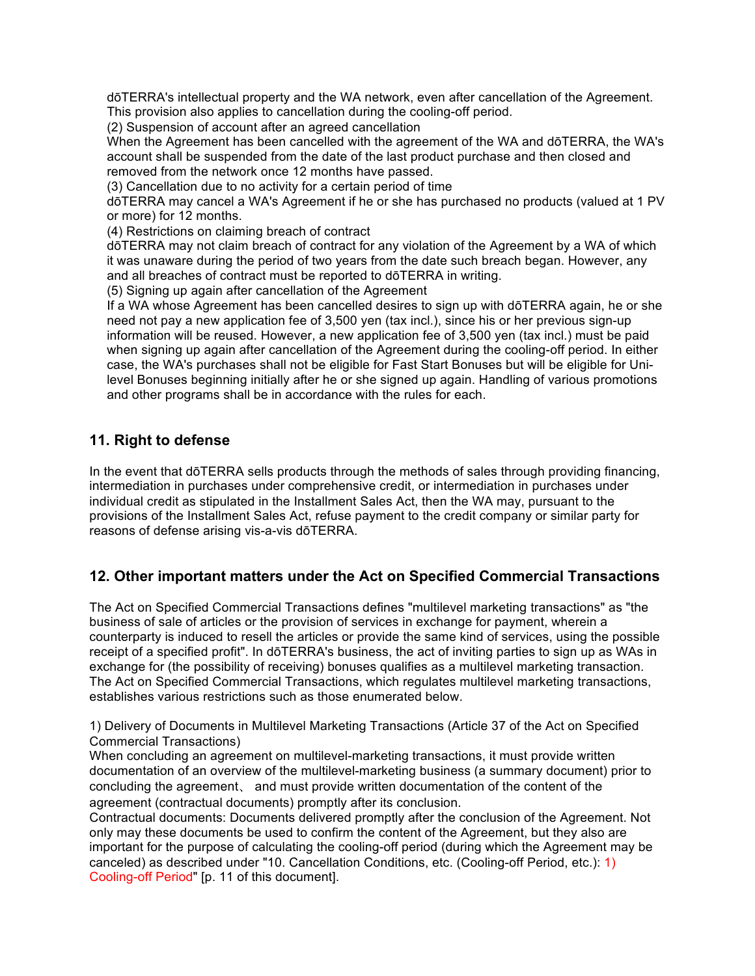dōTERRA's intellectual property and the WA network, even after cancellation of the Agreement. This provision also applies to cancellation during the cooling-off period.

(2) Suspension of account after an agreed cancellation

When the Agreement has been cancelled with the agreement of the WA and dōTERRA, the WA's account shall be suspended from the date of the last product purchase and then closed and removed from the network once 12 months have passed.

(3) Cancellation due to no activity for a certain period of time

dōTERRA may cancel a WA's Agreement if he or she has purchased no products (valued at 1 PV or more) for 12 months.

(4) Restrictions on claiming breach of contract

dōTERRA may not claim breach of contract for any violation of the Agreement by a WA of which it was unaware during the period of two years from the date such breach began. However, any and all breaches of contract must be reported to dōTERRA in writing.

(5) Signing up again after cancellation of the Agreement

If a WA whose Agreement has been cancelled desires to sign up with dōTERRA again, he or she need not pay a new application fee of 3,500 yen (tax incl.), since his or her previous sign-up information will be reused. However, a new application fee of 3,500 yen (tax incl.) must be paid when signing up again after cancellation of the Agreement during the cooling-off period. In either case, the WA's purchases shall not be eligible for Fast Start Bonuses but will be eligible for Unilevel Bonuses beginning initially after he or she signed up again. Handling of various promotions and other programs shall be in accordance with the rules for each.

#### **11. Right to defense**

In the event that dōTERRA sells products through the methods of sales through providing financing, intermediation in purchases under comprehensive credit, or intermediation in purchases under individual credit as stipulated in the Installment Sales Act, then the WA may, pursuant to the provisions of the Installment Sales Act, refuse payment to the credit company or similar party for reasons of defense arising vis-a-vis dōTERRA.

#### **12. Other important matters under the Act on Specified Commercial Transactions**

The Act on Specified Commercial Transactions defines "multilevel marketing transactions" as "the business of sale of articles or the provision of services in exchange for payment, wherein a counterparty is induced to resell the articles or provide the same kind of services, using the possible receipt of a specified profit". In dōTERRA's business, the act of inviting parties to sign up as WAs in exchange for (the possibility of receiving) bonuses qualifies as a multilevel marketing transaction. The Act on Specified Commercial Transactions, which regulates multilevel marketing transactions, establishes various restrictions such as those enumerated below.

1) Delivery of Documents in Multilevel Marketing Transactions (Article 37 of the Act on Specified Commercial Transactions)

When concluding an agreement on multilevel-marketing transactions, it must provide written documentation of an overview of the multilevel-marketing business (a summary document) prior to concluding the agreement, and must provide written documentation of the content of the agreement (contractual documents) promptly after its conclusion.

Contractual documents: Documents delivered promptly after the conclusion of the Agreement. Not only may these documents be used to confirm the content of the Agreement, but they also are important for the purpose of calculating the cooling-off period (during which the Agreement may be canceled) as described under "10. Cancellation Conditions, etc. (Cooling-off Period, etc.): 1) Cooling-off Period" [p. 11 of this document].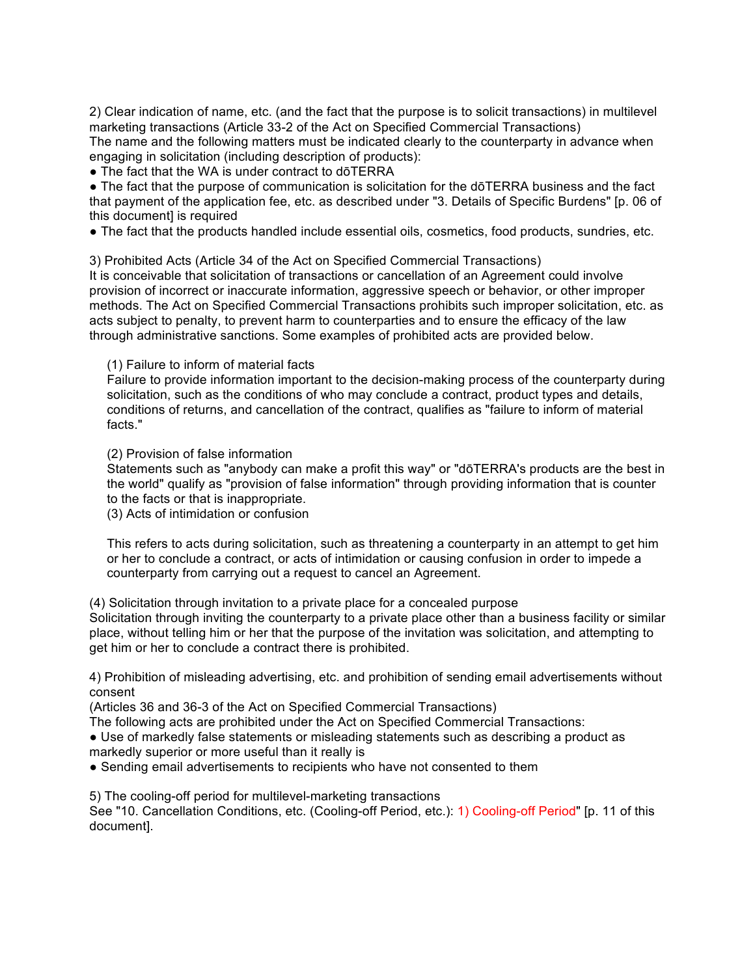2) Clear indication of name, etc. (and the fact that the purpose is to solicit transactions) in multilevel marketing transactions (Article 33-2 of the Act on Specified Commercial Transactions)

The name and the following matters must be indicated clearly to the counterparty in advance when engaging in solicitation (including description of products):

• The fact that the WA is under contract to dōTERRA

• The fact that the purpose of communication is solicitation for the dōTERRA business and the fact that payment of the application fee, etc. as described under "3. Details of Specific Burdens" [p. 06 of this document] is required

● The fact that the products handled include essential oils, cosmetics, food products, sundries, etc.

3) Prohibited Acts (Article 34 of the Act on Specified Commercial Transactions)

It is conceivable that solicitation of transactions or cancellation of an Agreement could involve provision of incorrect or inaccurate information, aggressive speech or behavior, or other improper methods. The Act on Specified Commercial Transactions prohibits such improper solicitation, etc. as acts subject to penalty, to prevent harm to counterparties and to ensure the efficacy of the law through administrative sanctions. Some examples of prohibited acts are provided below.

(1) Failure to inform of material facts

Failure to provide information important to the decision-making process of the counterparty during solicitation, such as the conditions of who may conclude a contract, product types and details, conditions of returns, and cancellation of the contract, qualifies as "failure to inform of material facts."

(2) Provision of false information

Statements such as "anybody can make a profit this way" or "dōTERRA's products are the best in the world" qualify as "provision of false information" through providing information that is counter to the facts or that is inappropriate.

(3) Acts of intimidation or confusion

This refers to acts during solicitation, such as threatening a counterparty in an attempt to get him or her to conclude a contract, or acts of intimidation or causing confusion in order to impede a counterparty from carrying out a request to cancel an Agreement.

(4) Solicitation through invitation to a private place for a concealed purpose

Solicitation through inviting the counterparty to a private place other than a business facility or similar place, without telling him or her that the purpose of the invitation was solicitation, and attempting to get him or her to conclude a contract there is prohibited.

4) Prohibition of misleading advertising, etc. and prohibition of sending email advertisements without consent

(Articles 36 and 36-3 of the Act on Specified Commercial Transactions)

The following acts are prohibited under the Act on Specified Commercial Transactions:

● Use of markedly false statements or misleading statements such as describing a product as

markedly superior or more useful than it really is

• Sending email advertisements to recipients who have not consented to them

5) The cooling-off period for multilevel-marketing transactions

See "10. Cancellation Conditions, etc. (Cooling-off Period, etc.): 1) Cooling-off Period" [p. 11 of this document].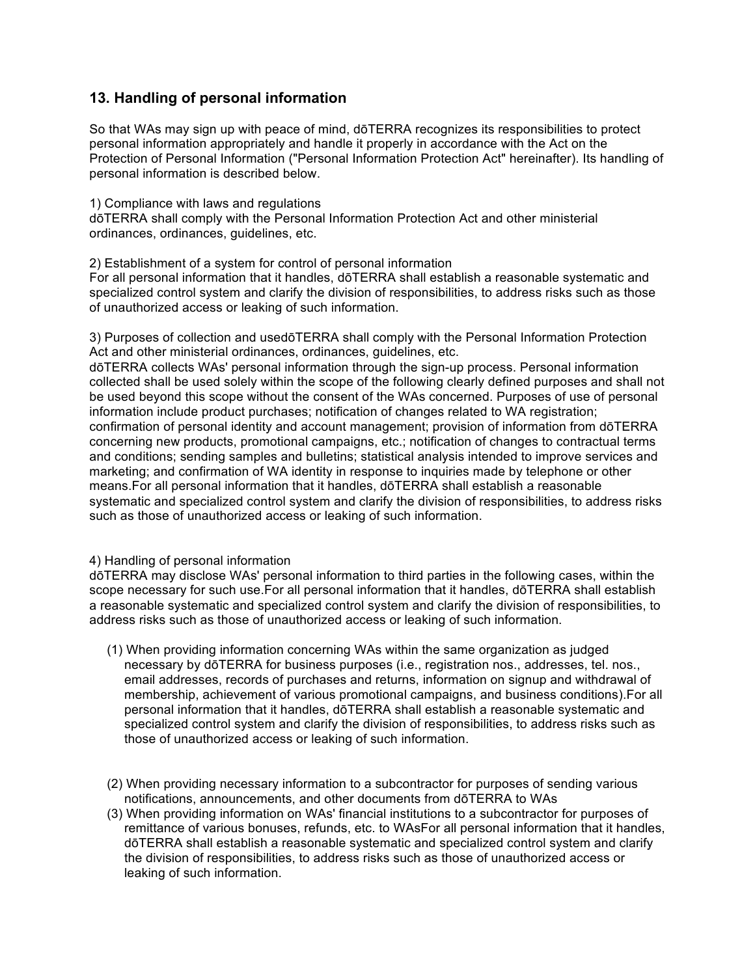#### **13. Handling of personal information**

So that WAs may sign up with peace of mind, dōTERRA recognizes its responsibilities to protect personal information appropriately and handle it properly in accordance with the Act on the Protection of Personal Information ("Personal Information Protection Act" hereinafter). Its handling of personal information is described below.

1) Compliance with laws and regulations

dōTERRA shall comply with the Personal Information Protection Act and other ministerial ordinances, ordinances, guidelines, etc.

2) Establishment of a system for control of personal information

For all personal information that it handles, dōTERRA shall establish a reasonable systematic and specialized control system and clarify the division of responsibilities, to address risks such as those of unauthorized access or leaking of such information.

3) Purposes of collection and usedōTERRA shall comply with the Personal Information Protection Act and other ministerial ordinances, ordinances, guidelines, etc.

dōTERRA collects WAs' personal information through the sign-up process. Personal information collected shall be used solely within the scope of the following clearly defined purposes and shall not be used beyond this scope without the consent of the WAs concerned. Purposes of use of personal information include product purchases; notification of changes related to WA registration; confirmation of personal identity and account management; provision of information from dōTERRA concerning new products, promotional campaigns, etc.; notification of changes to contractual terms and conditions; sending samples and bulletins; statistical analysis intended to improve services and marketing; and confirmation of WA identity in response to inquiries made by telephone or other means.For all personal information that it handles, dōTERRA shall establish a reasonable systematic and specialized control system and clarify the division of responsibilities, to address risks such as those of unauthorized access or leaking of such information.

#### 4) Handling of personal information

dōTERRA may disclose WAs' personal information to third parties in the following cases, within the scope necessary for such use.For all personal information that it handles, dōTERRA shall establish a reasonable systematic and specialized control system and clarify the division of responsibilities, to address risks such as those of unauthorized access or leaking of such information.

- (1) When providing information concerning WAs within the same organization as judged necessary by dōTERRA for business purposes (i.e., registration nos., addresses, tel. nos., email addresses, records of purchases and returns, information on signup and withdrawal of membership, achievement of various promotional campaigns, and business conditions).For all personal information that it handles, dōTERRA shall establish a reasonable systematic and specialized control system and clarify the division of responsibilities, to address risks such as those of unauthorized access or leaking of such information.
- (2) When providing necessary information to a subcontractor for purposes of sending various notifications, announcements, and other documents from dōTERRA to WAs
- (3) When providing information on WAs' financial institutions to a subcontractor for purposes of remittance of various bonuses, refunds, etc. to WAsFor all personal information that it handles, dōTERRA shall establish a reasonable systematic and specialized control system and clarify the division of responsibilities, to address risks such as those of unauthorized access or leaking of such information.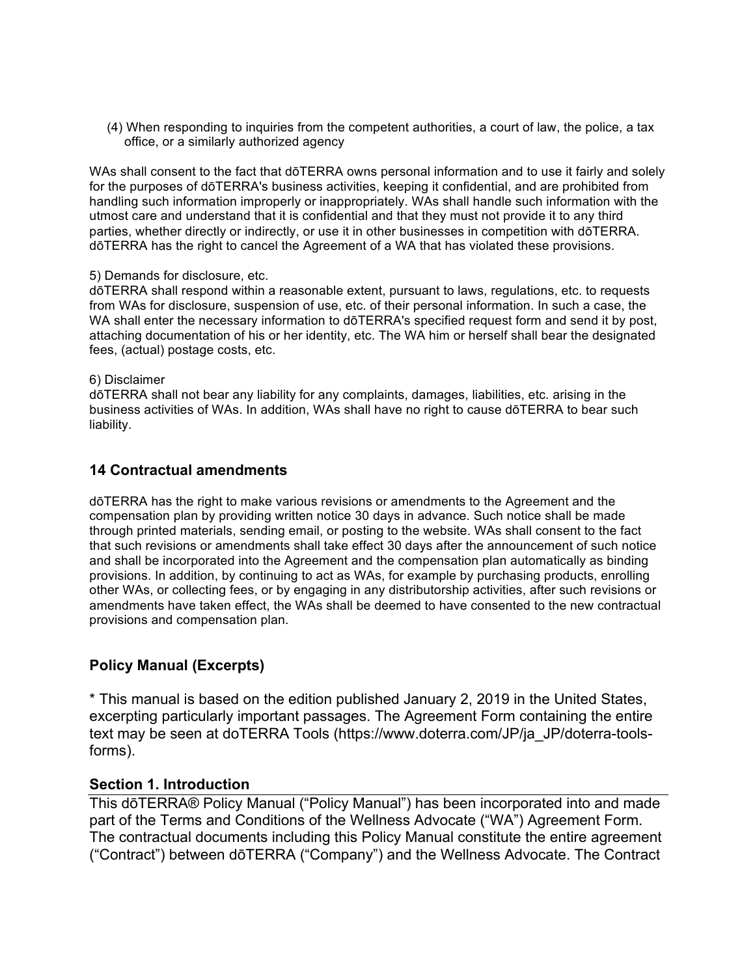(4) When responding to inquiries from the competent authorities, a court of law, the police, a tax office, or a similarly authorized agency

WAs shall consent to the fact that dōTERRA owns personal information and to use it fairly and solely for the purposes of dōTERRA's business activities, keeping it confidential, and are prohibited from handling such information improperly or inappropriately. WAs shall handle such information with the utmost care and understand that it is confidential and that they must not provide it to any third parties, whether directly or indirectly, or use it in other businesses in competition with dōTERRA. dōTERRA has the right to cancel the Agreement of a WA that has violated these provisions.

#### 5) Demands for disclosure, etc.

dōTERRA shall respond within a reasonable extent, pursuant to laws, regulations, etc. to requests from WAs for disclosure, suspension of use, etc. of their personal information. In such a case, the WA shall enter the necessary information to dōTERRA's specified request form and send it by post, attaching documentation of his or her identity, etc. The WA him or herself shall bear the designated fees, (actual) postage costs, etc.

#### 6) Disclaimer

dōTERRA shall not bear any liability for any complaints, damages, liabilities, etc. arising in the business activities of WAs. In addition, WAs shall have no right to cause dōTERRA to bear such liability.

#### **14 Contractual amendments**

dōTERRA has the right to make various revisions or amendments to the Agreement and the compensation plan by providing written notice 30 days in advance. Such notice shall be made through printed materials, sending email, or posting to the website. WAs shall consent to the fact that such revisions or amendments shall take effect 30 days after the announcement of such notice and shall be incorporated into the Agreement and the compensation plan automatically as binding provisions. In addition, by continuing to act as WAs, for example by purchasing products, enrolling other WAs, or collecting fees, or by engaging in any distributorship activities, after such revisions or amendments have taken effect, the WAs shall be deemed to have consented to the new contractual provisions and compensation plan.

#### **Policy Manual (Excerpts)**

\* This manual is based on the edition published January 2, 2019 in the United States, excerpting particularly important passages. The Agreement Form containing the entire text may be seen at doTERRA Tools (https://www.doterra.com/JP/ja\_JP/doterra-toolsforms).

#### **Section 1. Introduction**

This dōTERRA® Policy Manual ("Policy Manual") has been incorporated into and made part of the Terms and Conditions of the Wellness Advocate ("WA") Agreement Form. The contractual documents including this Policy Manual constitute the entire agreement ("Contract") between dōTERRA ("Company") and the Wellness Advocate. The Contract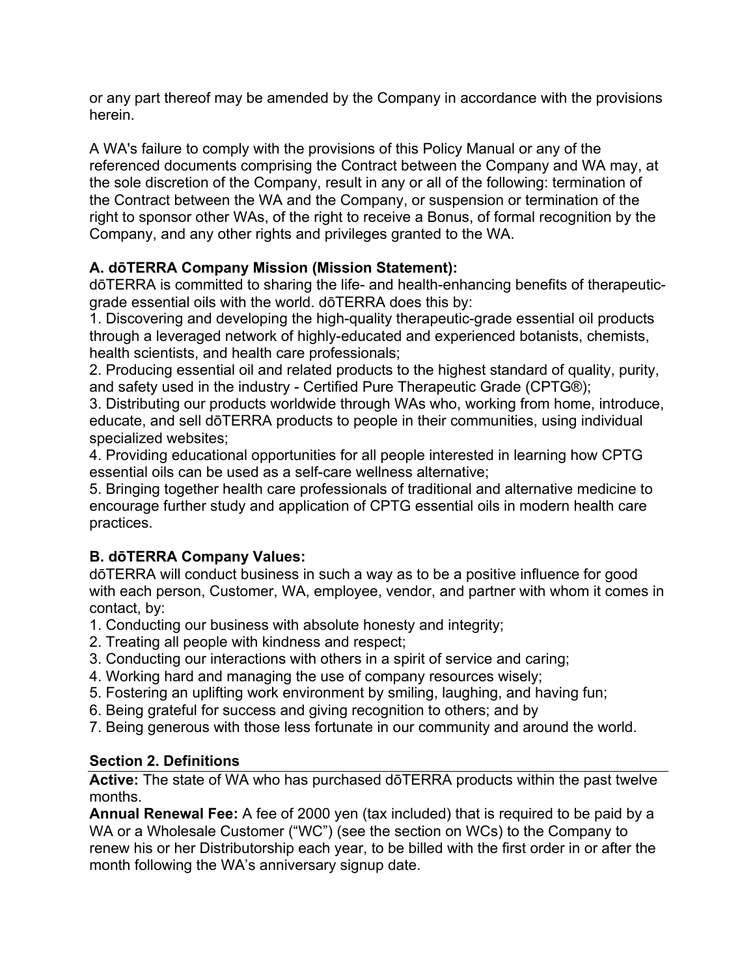or any part thereof may be amended by the Company in accordance with the provisions herein.

A WA's failure to comply with the provisions of this Policy Manual or any of the referenced documents comprising the Contract between the Company and WA may, at the sole discretion of the Company, result in any or all of the following: termination of the Contract between the WA and the Company, or suspension or termination of the right to sponsor other WAs, of the right to receive a Bonus, of formal recognition by the Company, and any other rights and privileges granted to the WA.

# **A. dōTERRA Company Mission (Mission Statement):**

dōTERRA is committed to sharing the life- and health-enhancing benefits of therapeuticgrade essential oils with the world. dōTERRA does this by:

1. Discovering and developing the high-quality therapeutic-grade essential oil products through a leveraged network of highly-educated and experienced botanists, chemists, health scientists, and health care professionals;

2. Producing essential oil and related products to the highest standard of quality, purity, and safety used in the industry - Certified Pure Therapeutic Grade (CPTG®);

3. Distributing our products worldwide through WAs who, working from home, introduce, educate, and sell dōTERRA products to people in their communities, using individual specialized websites;

4. Providing educational opportunities for all people interested in learning how CPTG essential oils can be used as a self-care wellness alternative;

5. Bringing together health care professionals of traditional and alternative medicine to encourage further study and application of CPTG essential oils in modern health care practices.

# **B. dōTERRA Company Values:**

dōTERRA will conduct business in such a way as to be a positive influence for good with each person, Customer, WA, employee, vendor, and partner with whom it comes in contact, by:

- 1. Conducting our business with absolute honesty and integrity;
- 2. Treating all people with kindness and respect;
- 3. Conducting our interactions with others in a spirit of service and caring;
- 4. Working hard and managing the use of company resources wisely;
- 5. Fostering an uplifting work environment by smiling, laughing, and having fun;
- 6. Being grateful for success and giving recognition to others; and by
- 7. Being generous with those less fortunate in our community and around the world.

# **Section 2. Definitions**

**Active:** The state of WA who has purchased dōTERRA products within the past twelve months.

**Annual Renewal Fee:** A fee of 2000 yen (tax included) that is required to be paid by a WA or a Wholesale Customer ("WC") (see the section on WCs) to the Company to renew his or her Distributorship each year, to be billed with the first order in or after the month following the WA's anniversary signup date.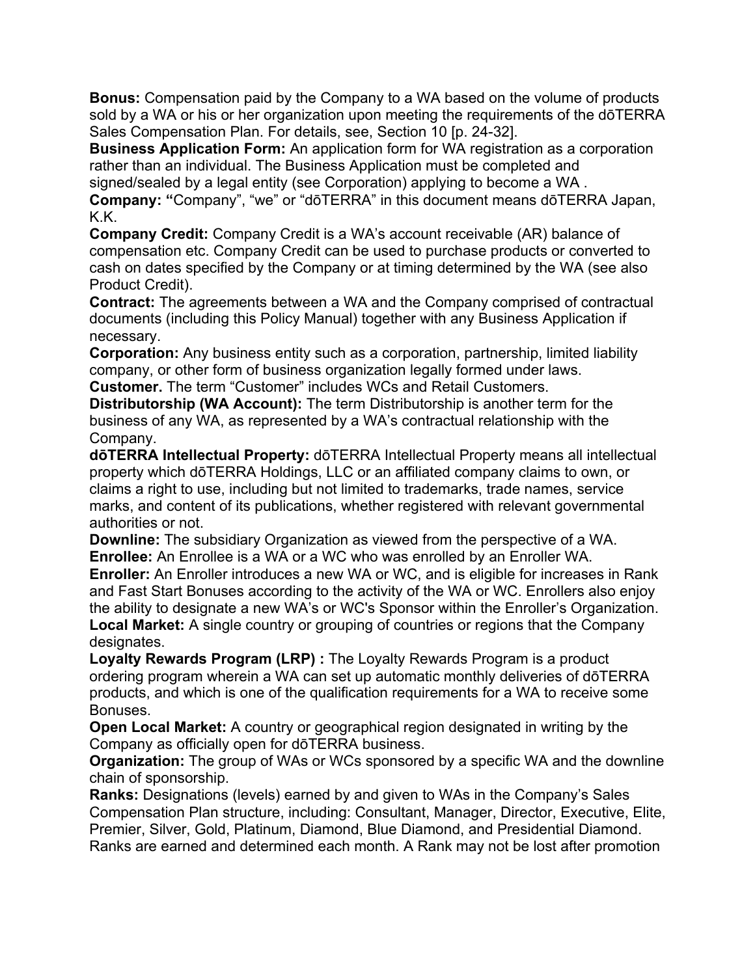**Bonus:** Compensation paid by the Company to a WA based on the volume of products sold by a WA or his or her organization upon meeting the requirements of the dōTERRA Sales Compensation Plan. For details, see, Section 10 [p. 24-32].

**Business Application Form:** An application form for WA registration as a corporation rather than an individual. The Business Application must be completed and signed/sealed by a legal entity (see Corporation) applying to become a WA .

**Company: "**Company", "we" or "dōTERRA" in this document means dōTERRA Japan,

K.K.

**Company Credit:** Company Credit is a WA's account receivable (AR) balance of compensation etc. Company Credit can be used to purchase products or converted to cash on dates specified by the Company or at timing determined by the WA (see also Product Credit).

**Contract:** The agreements between a WA and the Company comprised of contractual documents (including this Policy Manual) together with any Business Application if necessary.

**Corporation:** Any business entity such as a corporation, partnership, limited liability company, or other form of business organization legally formed under laws. **Customer.** The term "Customer" includes WCs and Retail Customers.

**Distributorship (WA Account):** The term Distributorship is another term for the business of any WA, as represented by a WA's contractual relationship with the Company.

**dōTERRA Intellectual Property:** dōTERRA Intellectual Property means all intellectual property which dōTERRA Holdings, LLC or an affiliated company claims to own, or claims a right to use, including but not limited to trademarks, trade names, service marks, and content of its publications, whether registered with relevant governmental authorities or not.

**Downline:** The subsidiary Organization as viewed from the perspective of a WA. **Enrollee:** An Enrollee is a WA or a WC who was enrolled by an Enroller WA.

**Enroller:** An Enroller introduces a new WA or WC, and is eligible for increases in Rank and Fast Start Bonuses according to the activity of the WA or WC. Enrollers also enjoy the ability to designate a new WA's or WC's Sponsor within the Enroller's Organization. **Local Market:** A single country or grouping of countries or regions that the Company designates.

**Loyalty Rewards Program (LRP) :** The Loyalty Rewards Program is a product ordering program wherein a WA can set up automatic monthly deliveries of dōTERRA products, and which is one of the qualification requirements for a WA to receive some Bonuses.

**Open Local Market:** A country or geographical region designated in writing by the Company as officially open for dōTERRA business.

**Organization:** The group of WAs or WCs sponsored by a specific WA and the downline chain of sponsorship.

**Ranks:** Designations (levels) earned by and given to WAs in the Company's Sales Compensation Plan structure, including: Consultant, Manager, Director, Executive, Elite, Premier, Silver, Gold, Platinum, Diamond, Blue Diamond, and Presidential Diamond. Ranks are earned and determined each month. A Rank may not be lost after promotion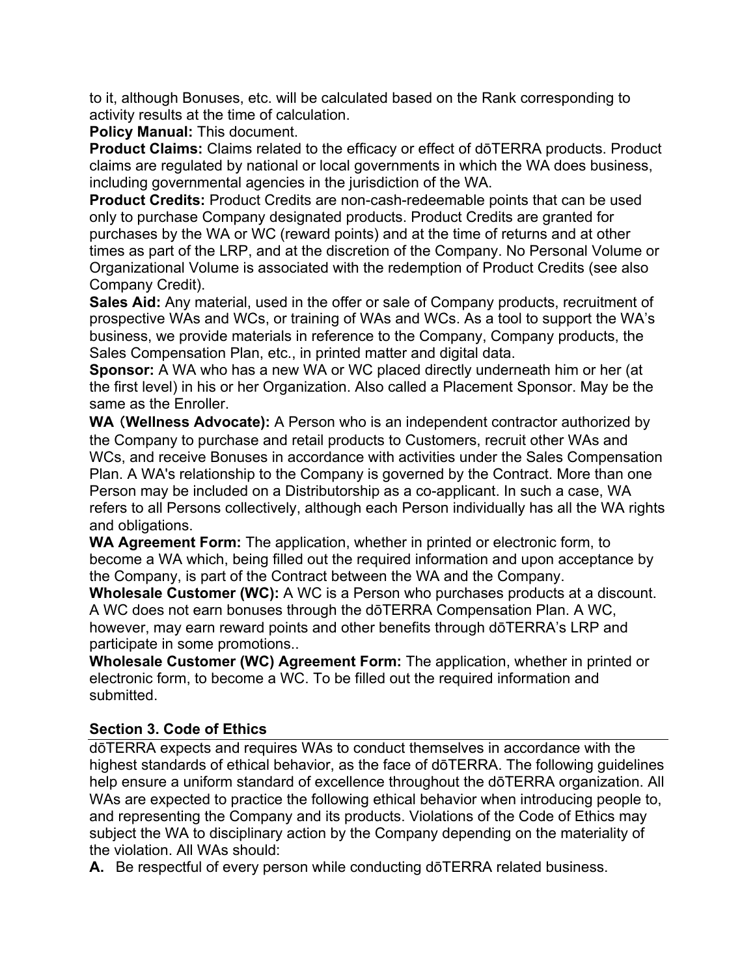to it, although Bonuses, etc. will be calculated based on the Rank corresponding to activity results at the time of calculation.

**Policy Manual:** This document.

**Product Claims:** Claims related to the efficacy or effect of dōTERRA products. Product claims are regulated by national or local governments in which the WA does business, including governmental agencies in the jurisdiction of the WA.

**Product Credits:** Product Credits are non-cash-redeemable points that can be used only to purchase Company designated products. Product Credits are granted for purchases by the WA or WC (reward points) and at the time of returns and at other times as part of the LRP, and at the discretion of the Company. No Personal Volume or Organizational Volume is associated with the redemption of Product Credits (see also Company Credit).

**Sales Aid:** Any material, used in the offer or sale of Company products, recruitment of prospective WAs and WCs, or training of WAs and WCs. As a tool to support the WA's business, we provide materials in reference to the Company, Company products, the Sales Compensation Plan, etc., in printed matter and digital data.

**Sponsor:** A WA who has a new WA or WC placed directly underneath him or her (at the first level) in his or her Organization. Also called a Placement Sponsor. May be the same as the Enroller.

WA (Wellness Advocate): A Person who is an independent contractor authorized by the Company to purchase and retail products to Customers, recruit other WAs and WCs, and receive Bonuses in accordance with activities under the Sales Compensation Plan. A WA's relationship to the Company is governed by the Contract. More than one Person may be included on a Distributorship as a co-applicant. In such a case, WA refers to all Persons collectively, although each Person individually has all the WA rights and obligations.

**WA Agreement Form:** The application, whether in printed or electronic form, to become a WA which, being filled out the required information and upon acceptance by the Company, is part of the Contract between the WA and the Company.

**Wholesale Customer (WC):** A WC is a Person who purchases products at a discount. A WC does not earn bonuses through the dōTERRA Compensation Plan. A WC, however, may earn reward points and other benefits through dōTERRA's LRP and participate in some promotions..

**Wholesale Customer (WC) Agreement Form:** The application, whether in printed or electronic form, to become a WC. To be filled out the required information and submitted.

## **Section 3. Code of Ethics**

dōTERRA expects and requires WAs to conduct themselves in accordance with the highest standards of ethical behavior, as the face of dōTERRA. The following guidelines help ensure a uniform standard of excellence throughout the dōTERRA organization. All WAs are expected to practice the following ethical behavior when introducing people to, and representing the Company and its products. Violations of the Code of Ethics may subject the WA to disciplinary action by the Company depending on the materiality of the violation. All WAs should:

**A.** Be respectful of every person while conducting dōTERRA related business.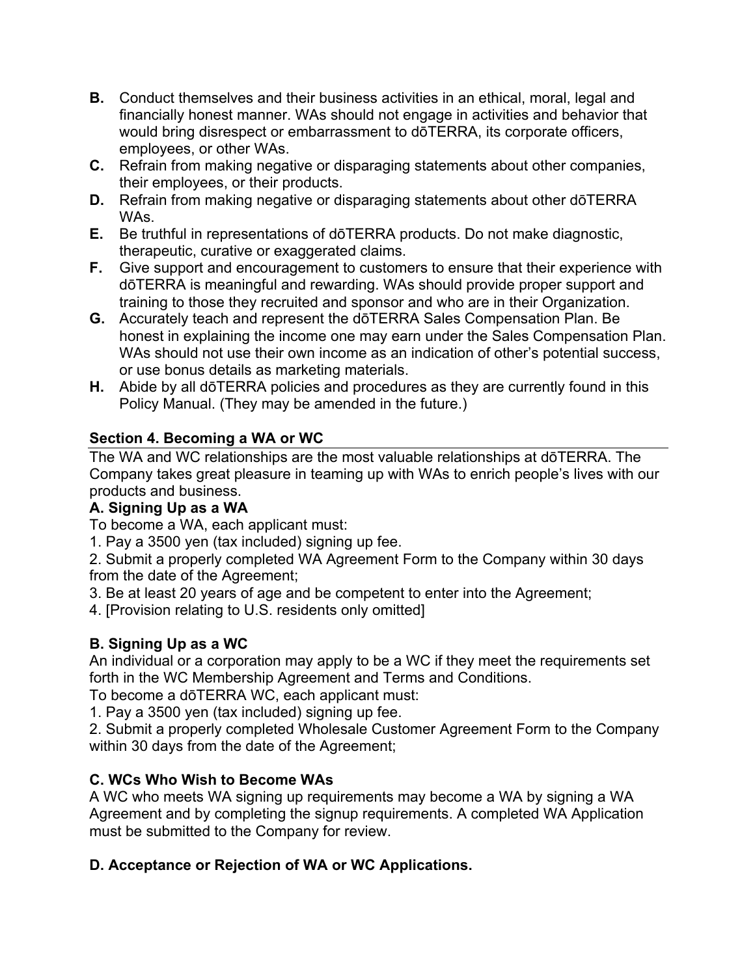- **B.** Conduct themselves and their business activities in an ethical, moral, legal and financially honest manner. WAs should not engage in activities and behavior that would bring disrespect or embarrassment to dōTERRA, its corporate officers, employees, or other WAs.
- **C.** Refrain from making negative or disparaging statements about other companies, their employees, or their products.
- **D.** Refrain from making negative or disparaging statements about other dōTERRA WAs.
- **E.** Be truthful in representations of dōTERRA products. Do not make diagnostic, therapeutic, curative or exaggerated claims.
- **F.** Give support and encouragement to customers to ensure that their experience with dōTERRA is meaningful and rewarding. WAs should provide proper support and training to those they recruited and sponsor and who are in their Organization.
- **G.** Accurately teach and represent the dōTERRA Sales Compensation Plan. Be honest in explaining the income one may earn under the Sales Compensation Plan. WAs should not use their own income as an indication of other's potential success, or use bonus details as marketing materials.
- **H.** Abide by all dōTERRA policies and procedures as they are currently found in this Policy Manual. (They may be amended in the future.)

# **Section 4. Becoming a WA or WC**

The WA and WC relationships are the most valuable relationships at dōTERRA. The Company takes great pleasure in teaming up with WAs to enrich people's lives with our products and business.

# **A. Signing Up as a WA**

To become a WA, each applicant must:

1. Pay a 3500 yen (tax included) signing up fee.

2. Submit a properly completed WA Agreement Form to the Company within 30 days from the date of the Agreement;

- 3. Be at least 20 years of age and be competent to enter into the Agreement;
- 4. [Provision relating to U.S. residents only omitted]

# **B. Signing Up as a WC**

An individual or a corporation may apply to be a WC if they meet the requirements set forth in the WC Membership Agreement and Terms and Conditions.

To become a dōTERRA WC, each applicant must:

1. Pay a 3500 yen (tax included) signing up fee.

2. Submit a properly completed Wholesale Customer Agreement Form to the Company within 30 days from the date of the Agreement;

# **C. WCs Who Wish to Become WAs**

A WC who meets WA signing up requirements may become a WA by signing a WA Agreement and by completing the signup requirements. A completed WA Application must be submitted to the Company for review.

# **D. Acceptance or Rejection of WA or WC Applications.**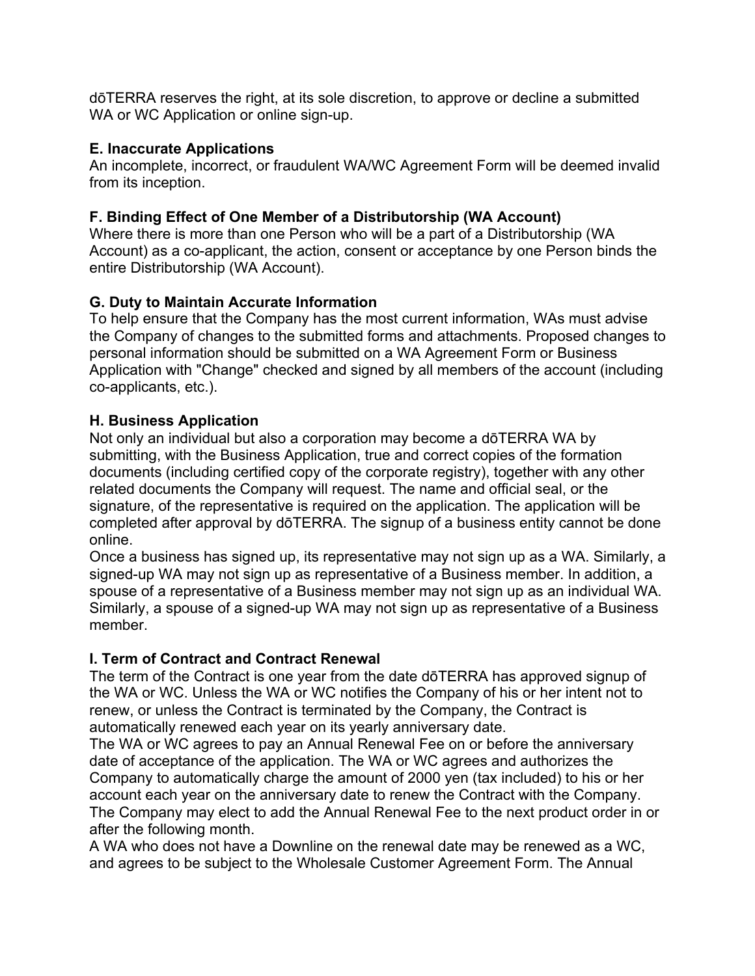dōTERRA reserves the right, at its sole discretion, to approve or decline a submitted WA or WC Application or online sign-up.

## **E. Inaccurate Applications**

An incomplete, incorrect, or fraudulent WA/WC Agreement Form will be deemed invalid from its inception.

# **F. Binding Effect of One Member of a Distributorship (WA Account)**

Where there is more than one Person who will be a part of a Distributorship (WA Account) as a co-applicant, the action, consent or acceptance by one Person binds the entire Distributorship (WA Account).

# **G. Duty to Maintain Accurate Information**

To help ensure that the Company has the most current information, WAs must advise the Company of changes to the submitted forms and attachments. Proposed changes to personal information should be submitted on a WA Agreement Form or Business Application with "Change" checked and signed by all members of the account (including co-applicants, etc.).

## **H. Business Application**

Not only an individual but also a corporation may become a dōTERRA WA by submitting, with the Business Application, true and correct copies of the formation documents (including certified copy of the corporate registry), together with any other related documents the Company will request. The name and official seal, or the signature, of the representative is required on the application. The application will be completed after approval by dōTERRA. The signup of a business entity cannot be done online.

Once a business has signed up, its representative may not sign up as a WA. Similarly, a signed-up WA may not sign up as representative of a Business member. In addition, a spouse of a representative of a Business member may not sign up as an individual WA. Similarly, a spouse of a signed-up WA may not sign up as representative of a Business member.

# **I. Term of Contract and Contract Renewal**

The term of the Contract is one year from the date dōTERRA has approved signup of the WA or WC. Unless the WA or WC notifies the Company of his or her intent not to renew, or unless the Contract is terminated by the Company, the Contract is automatically renewed each year on its yearly anniversary date.

The WA or WC agrees to pay an Annual Renewal Fee on or before the anniversary date of acceptance of the application. The WA or WC agrees and authorizes the Company to automatically charge the amount of 2000 yen (tax included) to his or her account each year on the anniversary date to renew the Contract with the Company. The Company may elect to add the Annual Renewal Fee to the next product order in or after the following month.

A WA who does not have a Downline on the renewal date may be renewed as a WC, and agrees to be subject to the Wholesale Customer Agreement Form. The Annual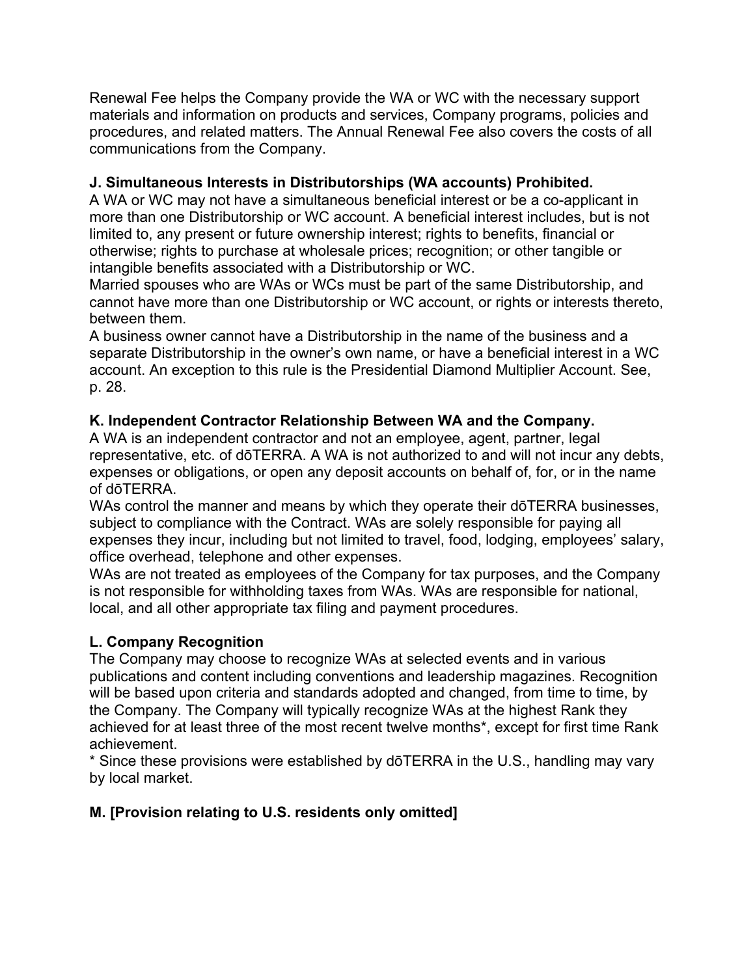Renewal Fee helps the Company provide the WA or WC with the necessary support materials and information on products and services, Company programs, policies and procedures, and related matters. The Annual Renewal Fee also covers the costs of all communications from the Company.

## **J. Simultaneous Interests in Distributorships (WA accounts) Prohibited.**

A WA or WC may not have a simultaneous beneficial interest or be a co-applicant in more than one Distributorship or WC account. A beneficial interest includes, but is not limited to, any present or future ownership interest; rights to benefits, financial or otherwise; rights to purchase at wholesale prices; recognition; or other tangible or intangible benefits associated with a Distributorship or WC.

Married spouses who are WAs or WCs must be part of the same Distributorship, and cannot have more than one Distributorship or WC account, or rights or interests thereto, between them.

A business owner cannot have a Distributorship in the name of the business and a separate Distributorship in the owner's own name, or have a beneficial interest in a WC account. An exception to this rule is the Presidential Diamond Multiplier Account. See, p. 28.

## **K. Independent Contractor Relationship Between WA and the Company.**

A WA is an independent contractor and not an employee, agent, partner, legal representative, etc. of dōTERRA. A WA is not authorized to and will not incur any debts, expenses or obligations, or open any deposit accounts on behalf of, for, or in the name of dōTERRA.

WAs control the manner and means by which they operate their dōTERRA businesses, subject to compliance with the Contract. WAs are solely responsible for paying all expenses they incur, including but not limited to travel, food, lodging, employees' salary, office overhead, telephone and other expenses.

WAs are not treated as employees of the Company for tax purposes, and the Company is not responsible for withholding taxes from WAs. WAs are responsible for national, local, and all other appropriate tax filing and payment procedures.

# **L. Company Recognition**

The Company may choose to recognize WAs at selected events and in various publications and content including conventions and leadership magazines. Recognition will be based upon criteria and standards adopted and changed, from time to time, by the Company. The Company will typically recognize WAs at the highest Rank they achieved for at least three of the most recent twelve months\*, except for first time Rank achievement.

\* Since these provisions were established by dōTERRA in the U.S., handling may vary by local market.

# **M. [Provision relating to U.S. residents only omitted]**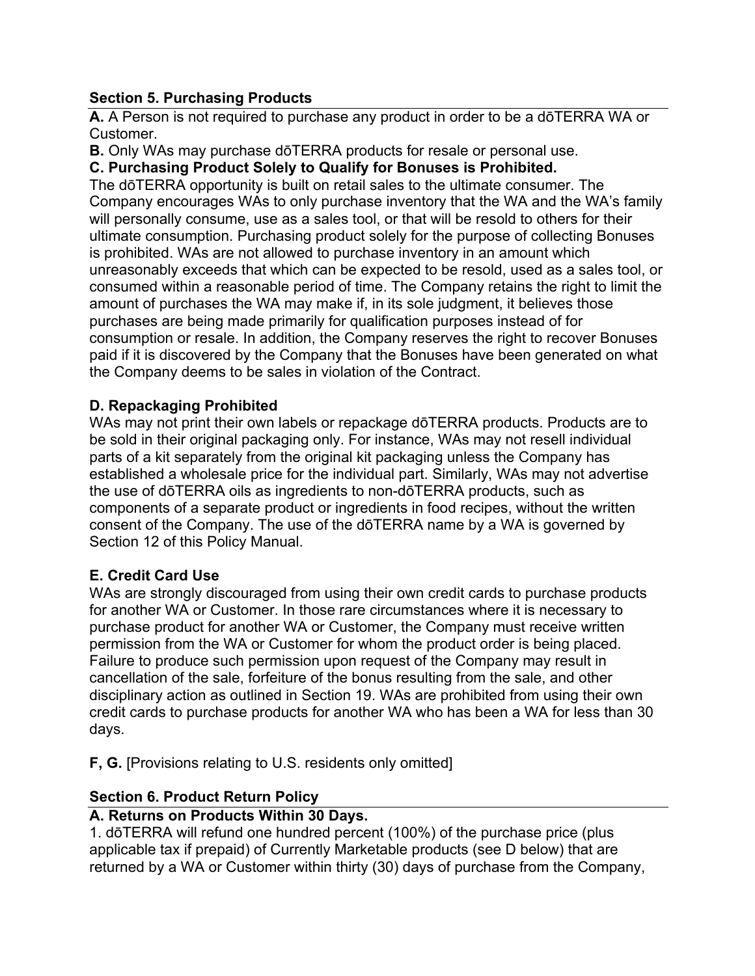## **Section 5. Purchasing Products**

**A.** A Person is not required to purchase any product in order to be a dōTERRA WA or Customer.

**B.** Only WAs may purchase dōTERRA products for resale or personal use.

## **C. Purchasing Product Solely to Qualify for Bonuses is Prohibited.**

The dōTERRA opportunity is built on retail sales to the ultimate consumer. The Company encourages WAs to only purchase inventory that the WA and the WA's family will personally consume, use as a sales tool, or that will be resold to others for their ultimate consumption. Purchasing product solely for the purpose of collecting Bonuses is prohibited. WAs are not allowed to purchase inventory in an amount which unreasonably exceeds that which can be expected to be resold, used as a sales tool, or consumed within a reasonable period of time. The Company retains the right to limit the amount of purchases the WA may make if, in its sole judgment, it believes those purchases are being made primarily for qualification purposes instead of for consumption or resale. In addition, the Company reserves the right to recover Bonuses paid if it is discovered by the Company that the Bonuses have been generated on what the Company deems to be sales in violation of the Contract.

## **D. Repackaging Prohibited**

WAs may not print their own labels or repackage dōTERRA products. Products are to be sold in their original packaging only. For instance, WAs may not resell individual parts of a kit separately from the original kit packaging unless the Company has established a wholesale price for the individual part. Similarly, WAs may not advertise the use of dōTERRA oils as ingredients to non-dōTERRA products, such as components of a separate product or ingredients in food recipes, without the written consent of the Company. The use of the dōTERRA name by a WA is governed by Section 12 of this Policy Manual.

## **E. Credit Card Use**

WAs are strongly discouraged from using their own credit cards to purchase products for another WA or Customer. In those rare circumstances where it is necessary to purchase product for another WA or Customer, the Company must receive written permission from the WA or Customer for whom the product order is being placed. Failure to produce such permission upon request of the Company may result in cancellation of the sale, forfeiture of the bonus resulting from the sale, and other disciplinary action as outlined in Section 19. WAs are prohibited from using their own credit cards to purchase products for another WA who has been a WA for less than 30 days.

**F, G.** [Provisions relating to U.S. residents only omitted]

## **Section 6. Product Return Policy**

## **A. Returns on Products Within 30 Days.**

1. dōTERRA will refund one hundred percent (100%) of the purchase price (plus applicable tax if prepaid) of Currently Marketable products (see D below) that are returned by a WA or Customer within thirty (30) days of purchase from the Company,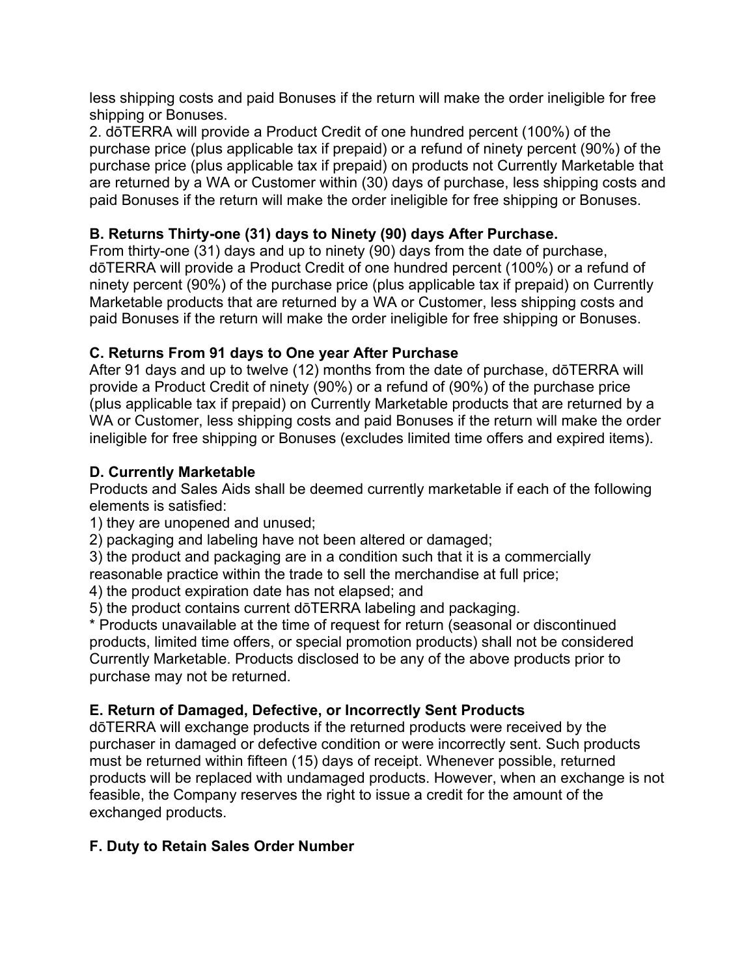less shipping costs and paid Bonuses if the return will make the order ineligible for free shipping or Bonuses.

2. dōTERRA will provide a Product Credit of one hundred percent (100%) of the purchase price (plus applicable tax if prepaid) or a refund of ninety percent (90%) of the purchase price (plus applicable tax if prepaid) on products not Currently Marketable that are returned by a WA or Customer within (30) days of purchase, less shipping costs and paid Bonuses if the return will make the order ineligible for free shipping or Bonuses.

## **B. Returns Thirty-one (31) days to Ninety (90) days After Purchase.**

From thirty-one (31) days and up to ninety (90) days from the date of purchase, dōTERRA will provide a Product Credit of one hundred percent (100%) or a refund of ninety percent (90%) of the purchase price (plus applicable tax if prepaid) on Currently Marketable products that are returned by a WA or Customer, less shipping costs and paid Bonuses if the return will make the order ineligible for free shipping or Bonuses.

# **C. Returns From 91 days to One year After Purchase**

After 91 days and up to twelve (12) months from the date of purchase, dōTERRA will provide a Product Credit of ninety (90%) or a refund of (90%) of the purchase price (plus applicable tax if prepaid) on Currently Marketable products that are returned by a WA or Customer, less shipping costs and paid Bonuses if the return will make the order ineligible for free shipping or Bonuses (excludes limited time offers and expired items).

## **D. Currently Marketable**

Products and Sales Aids shall be deemed currently marketable if each of the following elements is satisfied:

1) they are unopened and unused;

2) packaging and labeling have not been altered or damaged;

3) the product and packaging are in a condition such that it is a commercially reasonable practice within the trade to sell the merchandise at full price;

4) the product expiration date has not elapsed; and

5) the product contains current dōTERRA labeling and packaging.

\* Products unavailable at the time of request for return (seasonal or discontinued products, limited time offers, or special promotion products) shall not be considered Currently Marketable. Products disclosed to be any of the above products prior to purchase may not be returned.

# **E. Return of Damaged, Defective, or Incorrectly Sent Products**

dōTERRA will exchange products if the returned products were received by the purchaser in damaged or defective condition or were incorrectly sent. Such products must be returned within fifteen (15) days of receipt. Whenever possible, returned products will be replaced with undamaged products. However, when an exchange is not feasible, the Company reserves the right to issue a credit for the amount of the exchanged products.

# **F. Duty to Retain Sales Order Number**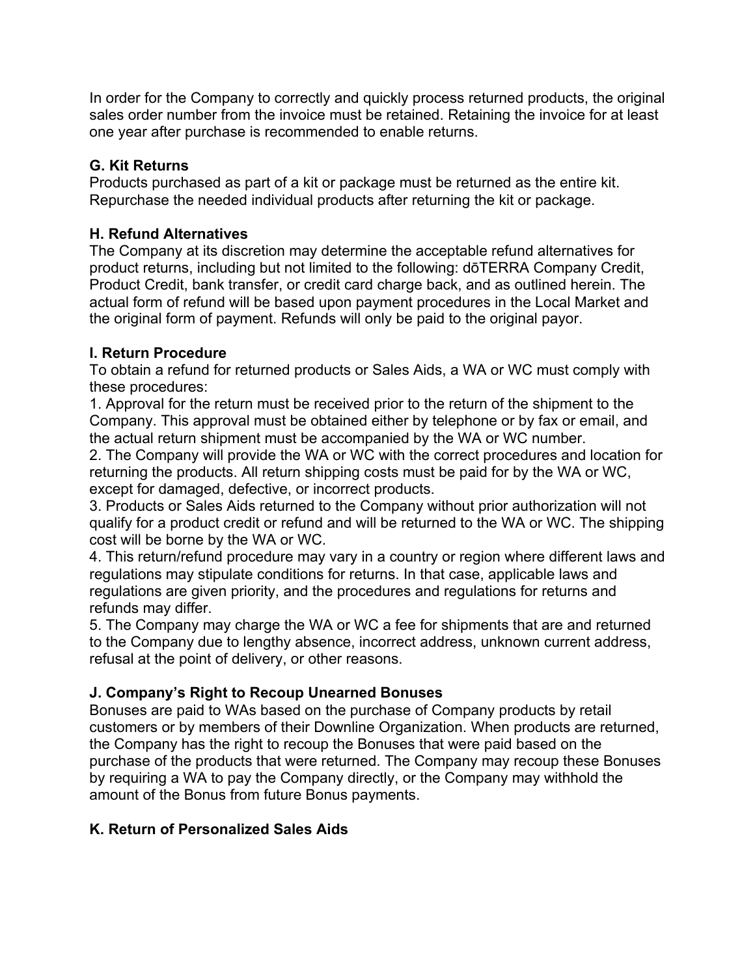In order for the Company to correctly and quickly process returned products, the original sales order number from the invoice must be retained. Retaining the invoice for at least one year after purchase is recommended to enable returns.

## **G. Kit Returns**

Products purchased as part of a kit or package must be returned as the entire kit. Repurchase the needed individual products after returning the kit or package.

## **H. Refund Alternatives**

The Company at its discretion may determine the acceptable refund alternatives for product returns, including but not limited to the following: dōTERRA Company Credit, Product Credit, bank transfer, or credit card charge back, and as outlined herein. The actual form of refund will be based upon payment procedures in the Local Market and the original form of payment. Refunds will only be paid to the original payor.

## **I. Return Procedure**

To obtain a refund for returned products or Sales Aids, a WA or WC must comply with these procedures:

1. Approval for the return must be received prior to the return of the shipment to the Company. This approval must be obtained either by telephone or by fax or email, and the actual return shipment must be accompanied by the WA or WC number.

2. The Company will provide the WA or WC with the correct procedures and location for returning the products. All return shipping costs must be paid for by the WA or WC, except for damaged, defective, or incorrect products.

3. Products or Sales Aids returned to the Company without prior authorization will not qualify for a product credit or refund and will be returned to the WA or WC. The shipping cost will be borne by the WA or WC.

4. This return/refund procedure may vary in a country or region where different laws and regulations may stipulate conditions for returns. In that case, applicable laws and regulations are given priority, and the procedures and regulations for returns and refunds may differ.

5. The Company may charge the WA or WC a fee for shipments that are and returned to the Company due to lengthy absence, incorrect address, unknown current address, refusal at the point of delivery, or other reasons.

# **J. Company's Right to Recoup Unearned Bonuses**

Bonuses are paid to WAs based on the purchase of Company products by retail customers or by members of their Downline Organization. When products are returned, the Company has the right to recoup the Bonuses that were paid based on the purchase of the products that were returned. The Company may recoup these Bonuses by requiring a WA to pay the Company directly, or the Company may withhold the amount of the Bonus from future Bonus payments.

# **K. Return of Personalized Sales Aids**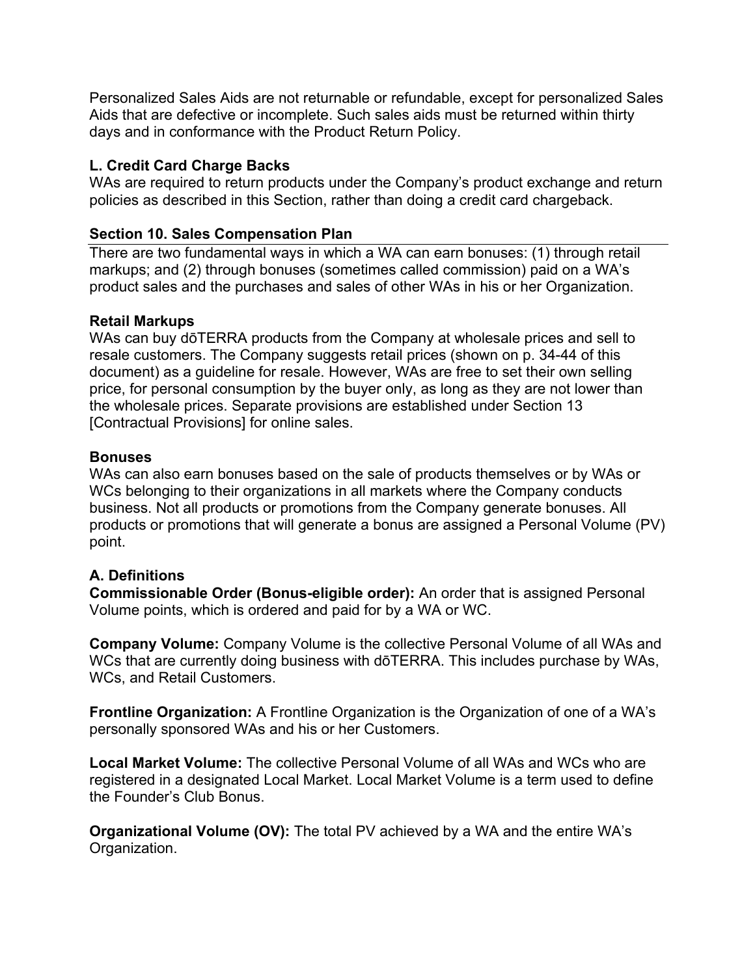Personalized Sales Aids are not returnable or refundable, except for personalized Sales Aids that are defective or incomplete. Such sales aids must be returned within thirty days and in conformance with the Product Return Policy.

## **L. Credit Card Charge Backs**

WAs are required to return products under the Company's product exchange and return policies as described in this Section, rather than doing a credit card chargeback.

## **Section 10. Sales Compensation Plan**

There are two fundamental ways in which a WA can earn bonuses: (1) through retail markups; and (2) through bonuses (sometimes called commission) paid on a WA's product sales and the purchases and sales of other WAs in his or her Organization.

## **Retail Markups**

WAs can buy dōTERRA products from the Company at wholesale prices and sell to resale customers. The Company suggests retail prices (shown on p. 34-44 of this document) as a guideline for resale. However, WAs are free to set their own selling price, for personal consumption by the buyer only, as long as they are not lower than the wholesale prices. Separate provisions are established under Section 13 [Contractual Provisions] for online sales.

## **Bonuses**

WAs can also earn bonuses based on the sale of products themselves or by WAs or WCs belonging to their organizations in all markets where the Company conducts business. Not all products or promotions from the Company generate bonuses. All products or promotions that will generate a bonus are assigned a Personal Volume (PV) point.

# **A. Definitions**

**Commissionable Order (Bonus-eligible order):** An order that is assigned Personal Volume points, which is ordered and paid for by a WA or WC.

**Company Volume:** Company Volume is the collective Personal Volume of all WAs and WCs that are currently doing business with dōTERRA. This includes purchase by WAs, WCs, and Retail Customers.

**Frontline Organization:** A Frontline Organization is the Organization of one of a WA's personally sponsored WAs and his or her Customers.

**Local Market Volume:** The collective Personal Volume of all WAs and WCs who are registered in a designated Local Market. Local Market Volume is a term used to define the Founder's Club Bonus.

**Organizational Volume (OV):** The total PV achieved by a WA and the entire WA's Organization.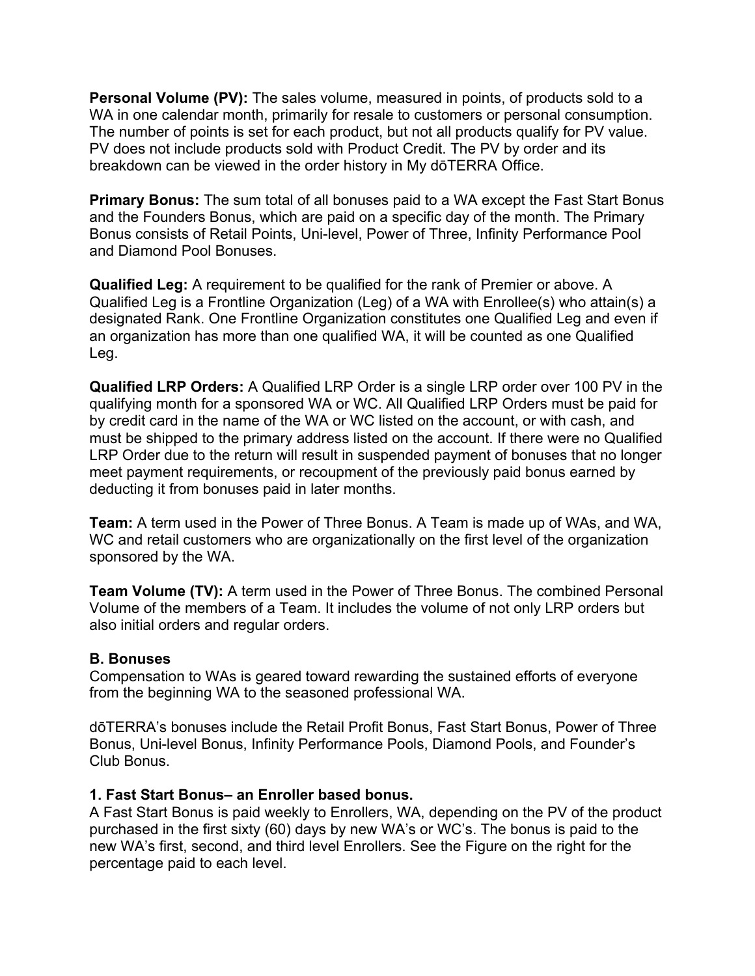**Personal Volume (PV):** The sales volume, measured in points, of products sold to a WA in one calendar month, primarily for resale to customers or personal consumption. The number of points is set for each product, but not all products qualify for PV value. PV does not include products sold with Product Credit. The PV by order and its breakdown can be viewed in the order history in My dōTERRA Office.

**Primary Bonus:** The sum total of all bonuses paid to a WA except the Fast Start Bonus and the Founders Bonus, which are paid on a specific day of the month. The Primary Bonus consists of Retail Points, Uni-level, Power of Three, Infinity Performance Pool and Diamond Pool Bonuses.

**Qualified Leg:** A requirement to be qualified for the rank of Premier or above. A Qualified Leg is a Frontline Organization (Leg) of a WA with Enrollee(s) who attain(s) a designated Rank. One Frontline Organization constitutes one Qualified Leg and even if an organization has more than one qualified WA, it will be counted as one Qualified Leg.

**Qualified LRP Orders:** A Qualified LRP Order is a single LRP order over 100 PV in the qualifying month for a sponsored WA or WC. All Qualified LRP Orders must be paid for by credit card in the name of the WA or WC listed on the account, or with cash, and must be shipped to the primary address listed on the account. If there were no Qualified LRP Order due to the return will result in suspended payment of bonuses that no longer meet payment requirements, or recoupment of the previously paid bonus earned by deducting it from bonuses paid in later months.

**Team:** A term used in the Power of Three Bonus. A Team is made up of WAs, and WA, WC and retail customers who are organizationally on the first level of the organization sponsored by the WA.

**Team Volume (TV):** A term used in the Power of Three Bonus. The combined Personal Volume of the members of a Team. It includes the volume of not only LRP orders but also initial orders and regular orders.

#### **B. Bonuses**

Compensation to WAs is geared toward rewarding the sustained efforts of everyone from the beginning WA to the seasoned professional WA.

dōTERRA's bonuses include the Retail Profit Bonus, Fast Start Bonus, Power of Three Bonus, Uni-level Bonus, Infinity Performance Pools, Diamond Pools, and Founder's Club Bonus.

#### **1. Fast Start Bonus– an Enroller based bonus.**

A Fast Start Bonus is paid weekly to Enrollers, WA, depending on the PV of the product purchased in the first sixty (60) days by new WA's or WC's. The bonus is paid to the new WA's first, second, and third level Enrollers. See the Figure on the right for the percentage paid to each level.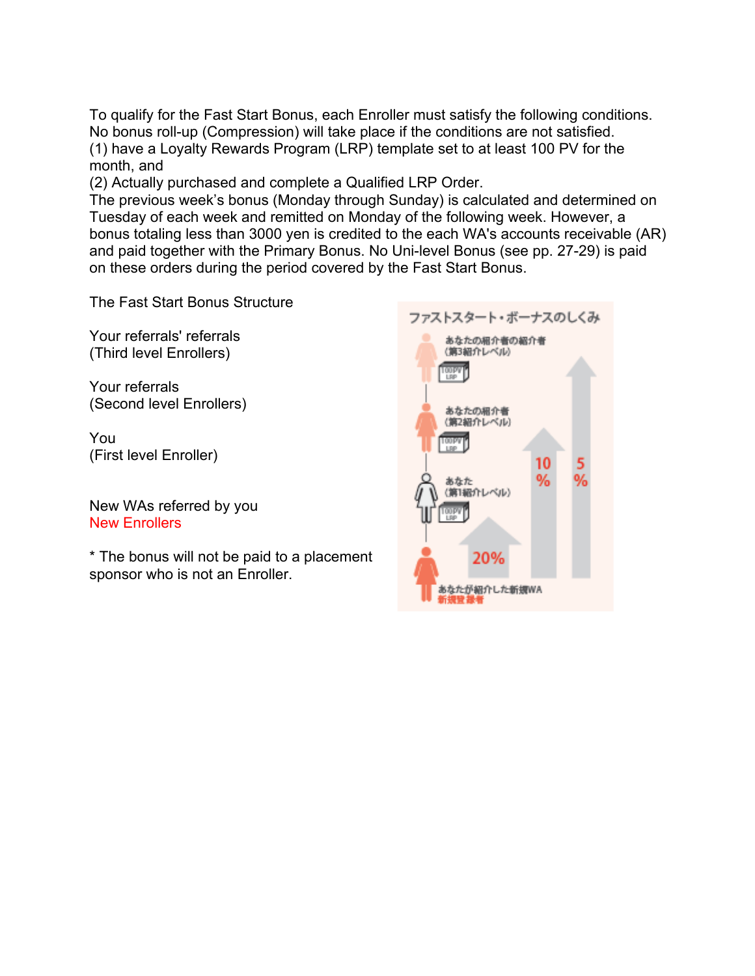To qualify for the Fast Start Bonus, each Enroller must satisfy the following conditions. No bonus roll-up (Compression) will take place if the conditions are not satisfied. (1) have a Loyalty Rewards Program (LRP) template set to at least 100 PV for the month, and

(2) Actually purchased and complete a Qualified LRP Order.

The previous week's bonus (Monday through Sunday) is calculated and determined on Tuesday of each week and remitted on Monday of the following week. However, a bonus totaling less than 3000 yen is credited to the each WA's accounts receivable (AR) and paid together with the Primary Bonus. No Uni-level Bonus (see pp. 27-29) is paid on these orders during the period covered by the Fast Start Bonus.

The Fast Start Bonus Structure

Your referrals' referrals (Third level Enrollers)

Your referrals (Second level Enrollers)

You (First level Enroller)

New WAs referred by you New Enrollers

\* The bonus will not be paid to a placement sponsor who is not an Enroller.

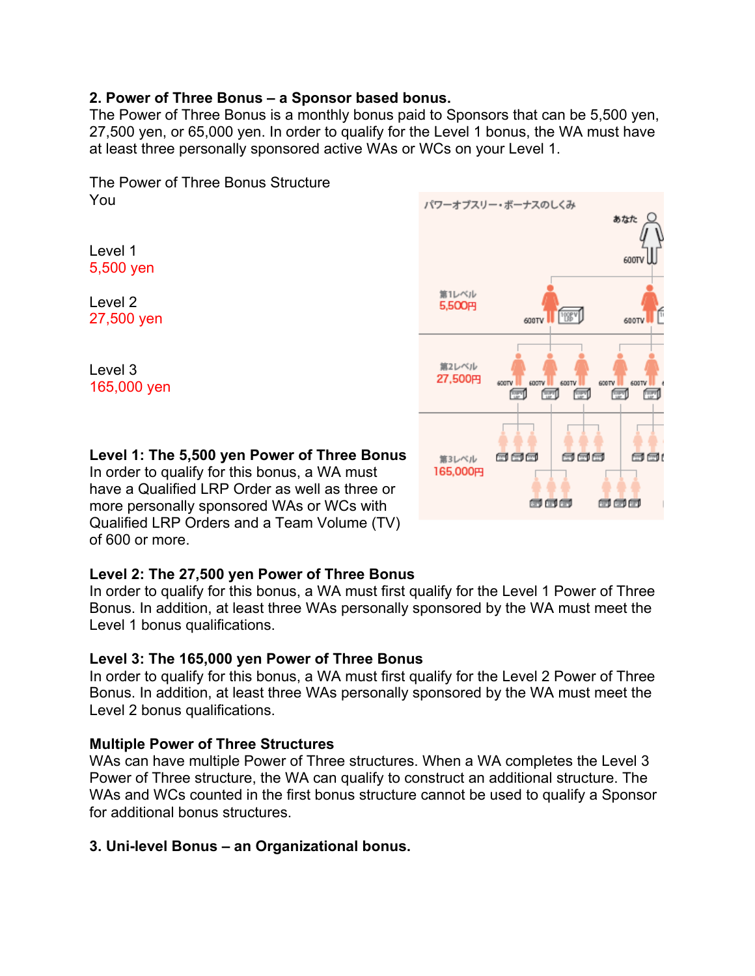#### **2. Power of Three Bonus – a Sponsor based bonus.**

The Power of Three Bonus is a monthly bonus paid to Sponsors that can be 5,500 yen, 27,500 yen, or 65,000 yen. In order to qualify for the Level 1 bonus, the WA must have at least three personally sponsored active WAs or WCs on your Level 1.

The Power of Three Bonus Structure You

Level 1 5,500 yen

Level 2 27,500 yen

Level 3 165,000 yen

## **Level 1: The 5,500 yen Power of Three Bonus**

In order to qualify for this bonus, a WA must have a Qualified LRP Order as well as three or more personally sponsored WAs or WCs with Qualified LRP Orders and a Team Volume (TV) of 600 or more.

#### **Level 2: The 27,500 yen Power of Three Bonus**

In order to qualify for this bonus, a WA must first qualify for the Level 1 Power of Three Bonus. In addition, at least three WAs personally sponsored by the WA must meet the Level 1 bonus qualifications.

#### **Level 3: The 165,000 yen Power of Three Bonus**

In order to qualify for this bonus, a WA must first qualify for the Level 2 Power of Three Bonus. In addition, at least three WAs personally sponsored by the WA must meet the Level 2 bonus qualifications.

#### **Multiple Power of Three Structures**

WAs can have multiple Power of Three structures. When a WA completes the Level 3 Power of Three structure, the WA can qualify to construct an additional structure. The WAs and WCs counted in the first bonus structure cannot be used to qualify a Sponsor for additional bonus structures.

#### **3. Uni-level Bonus – an Organizational bonus.**

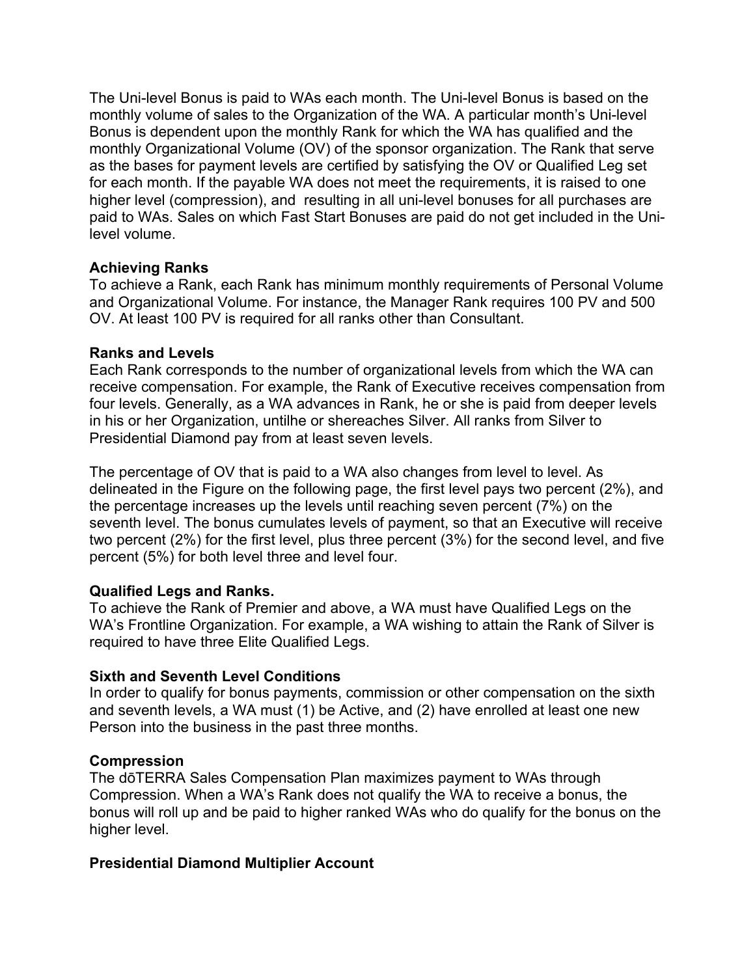The Uni-level Bonus is paid to WAs each month. The Uni-level Bonus is based on the monthly volume of sales to the Organization of the WA. A particular month's Uni-level Bonus is dependent upon the monthly Rank for which the WA has qualified and the monthly Organizational Volume (OV) of the sponsor organization. The Rank that serve as the bases for payment levels are certified by satisfying the OV or Qualified Leg set for each month. If the payable WA does not meet the requirements, it is raised to one higher level (compression), and resulting in all uni-level bonuses for all purchases are paid to WAs. Sales on which Fast Start Bonuses are paid do not get included in the Unilevel volume.

## **Achieving Ranks**

To achieve a Rank, each Rank has minimum monthly requirements of Personal Volume and Organizational Volume. For instance, the Manager Rank requires 100 PV and 500 OV. At least 100 PV is required for all ranks other than Consultant.

## **Ranks and Levels**

Each Rank corresponds to the number of organizational levels from which the WA can receive compensation. For example, the Rank of Executive receives compensation from four levels. Generally, as a WA advances in Rank, he or she is paid from deeper levels in his or her Organization, untilhe or shereaches Silver. All ranks from Silver to Presidential Diamond pay from at least seven levels.

The percentage of OV that is paid to a WA also changes from level to level. As delineated in the Figure on the following page, the first level pays two percent (2%), and the percentage increases up the levels until reaching seven percent (7%) on the seventh level. The bonus cumulates levels of payment, so that an Executive will receive two percent (2%) for the first level, plus three percent (3%) for the second level, and five percent (5%) for both level three and level four.

## **Qualified Legs and Ranks.**

To achieve the Rank of Premier and above, a WA must have Qualified Legs on the WA's Frontline Organization. For example, a WA wishing to attain the Rank of Silver is required to have three Elite Qualified Legs.

## **Sixth and Seventh Level Conditions**

In order to qualify for bonus payments, commission or other compensation on the sixth and seventh levels, a WA must (1) be Active, and (2) have enrolled at least one new Person into the business in the past three months.

## **Compression**

The dōTERRA Sales Compensation Plan maximizes payment to WAs through Compression. When a WA's Rank does not qualify the WA to receive a bonus, the bonus will roll up and be paid to higher ranked WAs who do qualify for the bonus on the higher level.

## **Presidential Diamond Multiplier Account**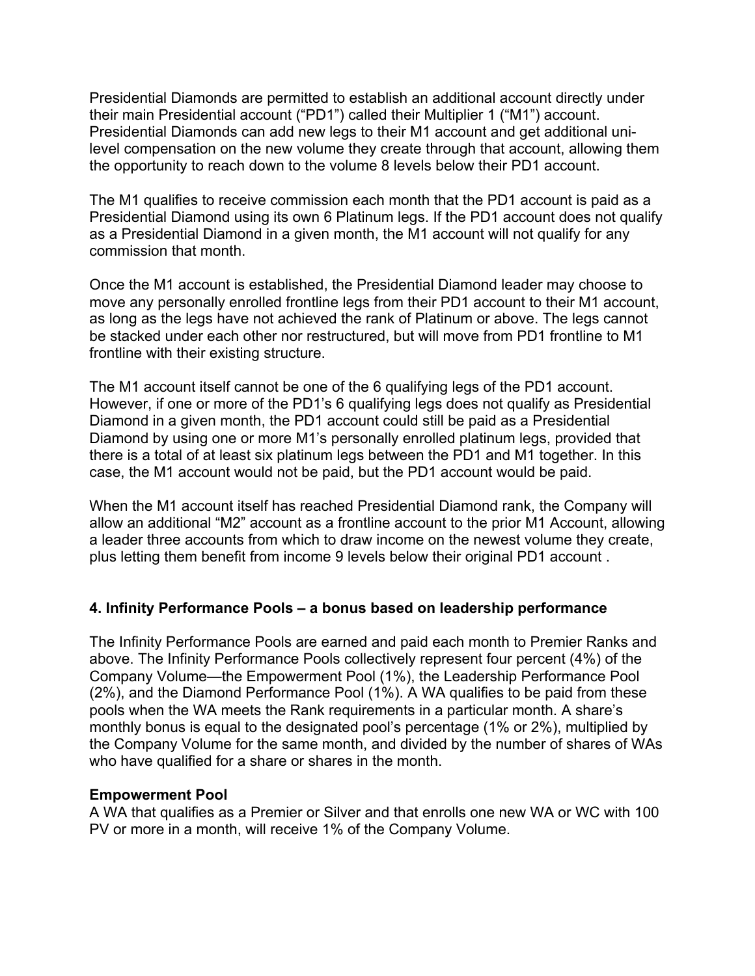Presidential Diamonds are permitted to establish an additional account directly under their main Presidential account ("PD1") called their Multiplier 1 ("M1") account. Presidential Diamonds can add new legs to their M1 account and get additional unilevel compensation on the new volume they create through that account, allowing them the opportunity to reach down to the volume 8 levels below their PD1 account.

The M1 qualifies to receive commission each month that the PD1 account is paid as a Presidential Diamond using its own 6 Platinum legs. If the PD1 account does not qualify as a Presidential Diamond in a given month, the M1 account will not qualify for any commission that month.

Once the M1 account is established, the Presidential Diamond leader may choose to move any personally enrolled frontline legs from their PD1 account to their M1 account, as long as the legs have not achieved the rank of Platinum or above. The legs cannot be stacked under each other nor restructured, but will move from PD1 frontline to M1 frontline with their existing structure.

The M1 account itself cannot be one of the 6 qualifying legs of the PD1 account. However, if one or more of the PD1's 6 qualifying legs does not qualify as Presidential Diamond in a given month, the PD1 account could still be paid as a Presidential Diamond by using one or more M1's personally enrolled platinum legs, provided that there is a total of at least six platinum legs between the PD1 and M1 together. In this case, the M1 account would not be paid, but the PD1 account would be paid.

When the M1 account itself has reached Presidential Diamond rank, the Company will allow an additional "M2" account as a frontline account to the prior M1 Account, allowing a leader three accounts from which to draw income on the newest volume they create, plus letting them benefit from income 9 levels below their original PD1 account .

## **4. Infinity Performance Pools – a bonus based on leadership performance**

The Infinity Performance Pools are earned and paid each month to Premier Ranks and above. The Infinity Performance Pools collectively represent four percent (4%) of the Company Volume—the Empowerment Pool (1%), the Leadership Performance Pool (2%), and the Diamond Performance Pool (1%). A WA qualifies to be paid from these pools when the WA meets the Rank requirements in a particular month. A share's monthly bonus is equal to the designated pool's percentage (1% or 2%), multiplied by the Company Volume for the same month, and divided by the number of shares of WAs who have qualified for a share or shares in the month.

#### **Empowerment Pool**

A WA that qualifies as a Premier or Silver and that enrolls one new WA or WC with 100 PV or more in a month, will receive 1% of the Company Volume.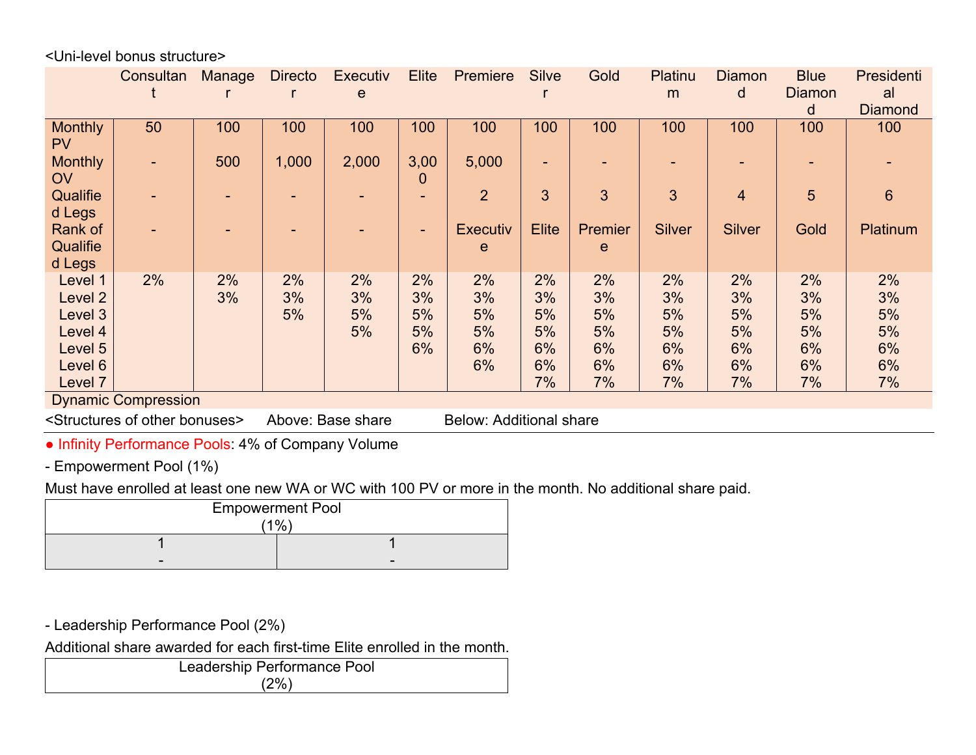<Uni-level bonus structure>

|                                                                                                              | Consultan | <b>Manage</b> | <b>Directo</b> | <b>Executiv</b><br>e | <b>Elite</b>               | Premiere                         | <b>Silve</b>                           | Gold                                   | Platinu<br>m                           | <b>Diamon</b><br>d                     | <b>Blue</b><br><b>Diamon</b><br>d      | Presidenti<br>al<br><b>Diamond</b>     |
|--------------------------------------------------------------------------------------------------------------|-----------|---------------|----------------|----------------------|----------------------------|----------------------------------|----------------------------------------|----------------------------------------|----------------------------------------|----------------------------------------|----------------------------------------|----------------------------------------|
| <b>Monthly</b><br><b>PV</b>                                                                                  | 50        | 100           | 100            | 100                  | 100                        | 100                              | 100                                    | 100                                    | 100                                    | 100                                    | 100                                    | 100                                    |
| <b>Monthly</b><br><b>OV</b>                                                                                  | ٠         | 500           | 1,000          | 2,000                | 3,00<br>0                  | 5,000                            | -                                      |                                        |                                        |                                        |                                        |                                        |
| Qualifie<br>d Legs                                                                                           |           | ۰             |                |                      |                            | $\overline{2}$                   | 3                                      | 3                                      | 3                                      | $\overline{4}$                         | 5                                      | 6                                      |
| Rank of<br>Qualifie<br>d Legs                                                                                |           |               |                |                      | ٠                          | <b>Executiv</b><br>e             | <b>Elite</b>                           | Premier<br>$\mathbf e$                 | <b>Silver</b>                          | <b>Silver</b>                          | Gold                                   | Platinum                               |
| Level 1<br>Level 2<br>Level 3<br>Level 4<br>Level 5<br>Level 6<br>Level 7                                    | 2%        | 2%<br>3%      | 2%<br>3%<br>5% | 2%<br>3%<br>5%<br>5% | 2%<br>3%<br>5%<br>5%<br>6% | 2%<br>3%<br>5%<br>5%<br>6%<br>6% | 2%<br>3%<br>5%<br>5%<br>6%<br>6%<br>7% | 2%<br>3%<br>5%<br>5%<br>6%<br>6%<br>7% | 2%<br>3%<br>5%<br>5%<br>6%<br>6%<br>7% | 2%<br>3%<br>5%<br>5%<br>6%<br>6%<br>7% | 2%<br>3%<br>5%<br>5%<br>6%<br>6%<br>7% | 2%<br>3%<br>5%<br>5%<br>6%<br>6%<br>7% |
| <b>Dynamic Compression</b>                                                                                   |           |               |                |                      |                            |                                  |                                        |                                        |                                        |                                        |                                        |                                        |
| <structures bonuses="" of="" other=""><br/>Above: Base share<br/><b>Below: Additional share</b></structures> |           |               |                |                      |                            |                                  |                                        |                                        |                                        |                                        |                                        |                                        |
| a Infinity Dorformango Doolo: 10/ of Company Volume                                                          |           |               |                |                      |                            |                                  |                                        |                                        |                                        |                                        |                                        |                                        |

• Infinity Performance Pools: 4% of Company Volume

- Empowerment Pool (1%)

Must have enrolled at least one new WA or WC with 100 PV or more in the month. No additional share paid.

| <b>Empowerment Pool</b> |  |  |  |
|-------------------------|--|--|--|
| $1\%$                   |  |  |  |
|                         |  |  |  |
| -                       |  |  |  |

- Leadership Performance Pool (2%)

Additional share awarded for each first-time Elite enrolled in the month.

|        | Leadership Performance Pool |  |
|--------|-----------------------------|--|
| $'2\%$ |                             |  |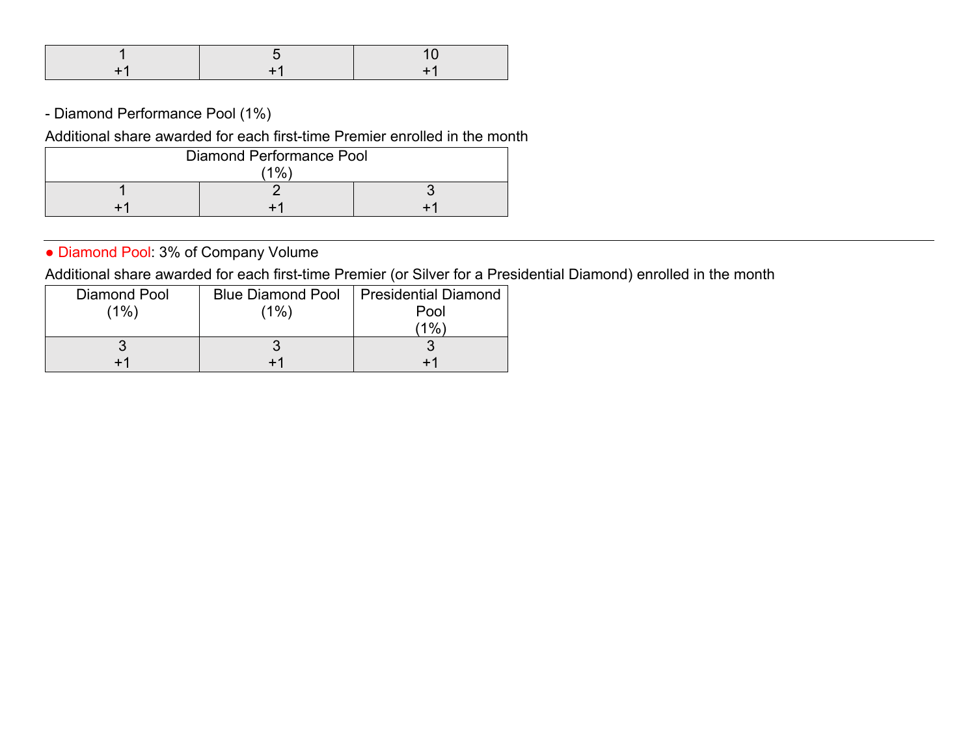- Diamond Performance Pool (1%)

Additional share awarded for each first-time Premier enrolled in the month

| Diamond Performance Pool |  |  |  |
|--------------------------|--|--|--|
| 10/                      |  |  |  |
|                          |  |  |  |
|                          |  |  |  |

• Diamond Pool: 3% of Company Volume

Additional share awarded for each first-time Premier (or Silver for a Presidential Diamond) enrolled in the month

| Diamond Pool | <b>Blue Diamond Pool</b> | Presidential Diamond |
|--------------|--------------------------|----------------------|
| (1%)         | (1%)                     | Pool                 |
|              |                          | 10 <sub>6</sub>      |
|              |                          |                      |
|              |                          |                      |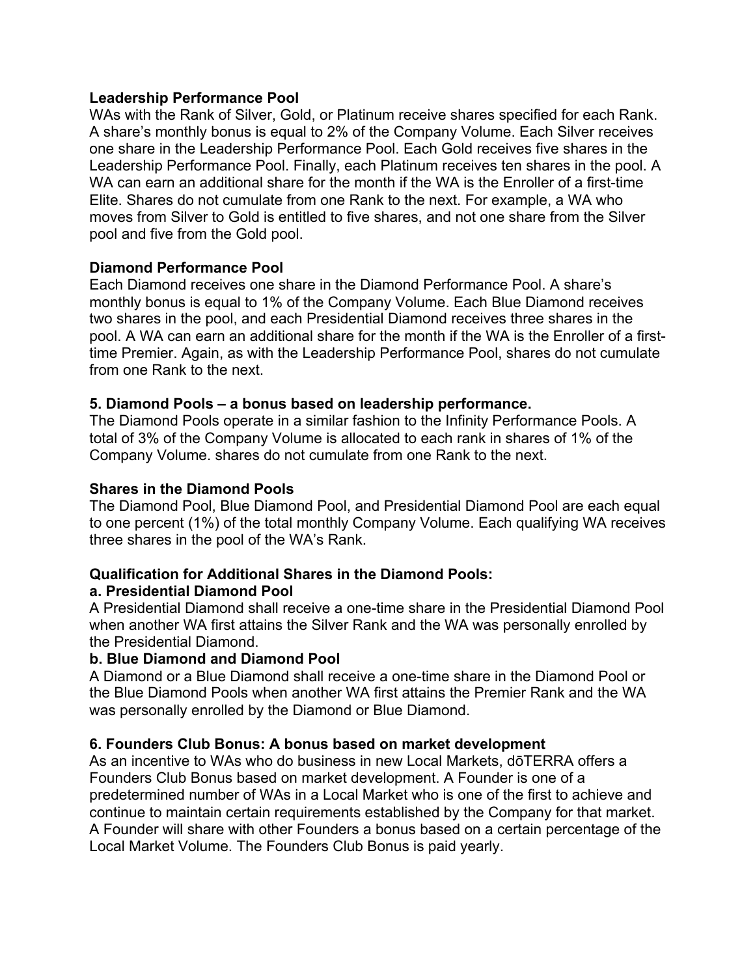#### **Leadership Performance Pool**

WAs with the Rank of Silver, Gold, or Platinum receive shares specified for each Rank. A share's monthly bonus is equal to 2% of the Company Volume. Each Silver receives one share in the Leadership Performance Pool. Each Gold receives five shares in the Leadership Performance Pool. Finally, each Platinum receives ten shares in the pool. A WA can earn an additional share for the month if the WA is the Enroller of a first-time Elite. Shares do not cumulate from one Rank to the next. For example, a WA who moves from Silver to Gold is entitled to five shares, and not one share from the Silver pool and five from the Gold pool.

#### **Diamond Performance Pool**

Each Diamond receives one share in the Diamond Performance Pool. A share's monthly bonus is equal to 1% of the Company Volume. Each Blue Diamond receives two shares in the pool, and each Presidential Diamond receives three shares in the pool. A WA can earn an additional share for the month if the WA is the Enroller of a firsttime Premier. Again, as with the Leadership Performance Pool, shares do not cumulate from one Rank to the next.

#### **5. Diamond Pools – a bonus based on leadership performance.**

The Diamond Pools operate in a similar fashion to the Infinity Performance Pools. A total of 3% of the Company Volume is allocated to each rank in shares of 1% of the Company Volume. shares do not cumulate from one Rank to the next.

#### **Shares in the Diamond Pools**

The Diamond Pool, Blue Diamond Pool, and Presidential Diamond Pool are each equal to one percent (1%) of the total monthly Company Volume. Each qualifying WA receives three shares in the pool of the WA's Rank.

#### **Qualification for Additional Shares in the Diamond Pools:**

#### **a. Presidential Diamond Pool**

A Presidential Diamond shall receive a one-time share in the Presidential Diamond Pool when another WA first attains the Silver Rank and the WA was personally enrolled by the Presidential Diamond.

#### **b. Blue Diamond and Diamond Pool**

A Diamond or a Blue Diamond shall receive a one-time share in the Diamond Pool or the Blue Diamond Pools when another WA first attains the Premier Rank and the WA was personally enrolled by the Diamond or Blue Diamond.

#### **6. Founders Club Bonus: A bonus based on market development**

As an incentive to WAs who do business in new Local Markets, dōTERRA offers a Founders Club Bonus based on market development. A Founder is one of a predetermined number of WAs in a Local Market who is one of the first to achieve and continue to maintain certain requirements established by the Company for that market. A Founder will share with other Founders a bonus based on a certain percentage of the Local Market Volume. The Founders Club Bonus is paid yearly.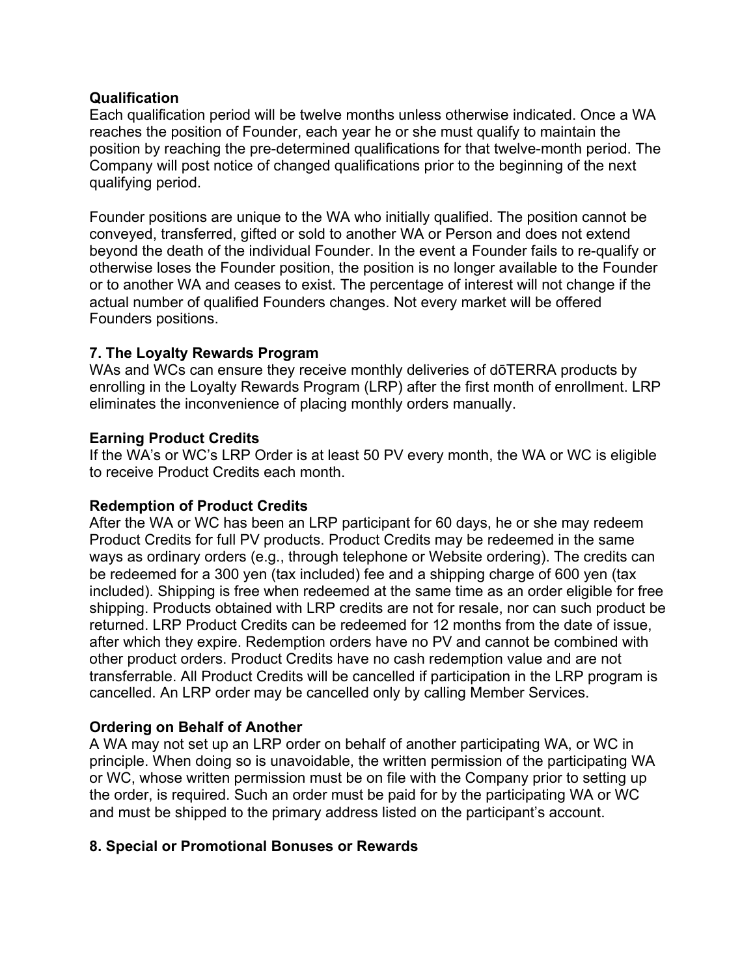#### **Qualification**

Each qualification period will be twelve months unless otherwise indicated. Once a WA reaches the position of Founder, each year he or she must qualify to maintain the position by reaching the pre-determined qualifications for that twelve-month period. The Company will post notice of changed qualifications prior to the beginning of the next qualifying period.

Founder positions are unique to the WA who initially qualified. The position cannot be conveyed, transferred, gifted or sold to another WA or Person and does not extend beyond the death of the individual Founder. In the event a Founder fails to re-qualify or otherwise loses the Founder position, the position is no longer available to the Founder or to another WA and ceases to exist. The percentage of interest will not change if the actual number of qualified Founders changes. Not every market will be offered Founders positions.

## **7. The Loyalty Rewards Program**

WAs and WCs can ensure they receive monthly deliveries of doTERRA products by enrolling in the Loyalty Rewards Program (LRP) after the first month of enrollment. LRP eliminates the inconvenience of placing monthly orders manually.

## **Earning Product Credits**

If the WA's or WC's LRP Order is at least 50 PV every month, the WA or WC is eligible to receive Product Credits each month.

#### **Redemption of Product Credits**

After the WA or WC has been an LRP participant for 60 days, he or she may redeem Product Credits for full PV products. Product Credits may be redeemed in the same ways as ordinary orders (e.g., through telephone or Website ordering). The credits can be redeemed for a 300 yen (tax included) fee and a shipping charge of 600 yen (tax included). Shipping is free when redeemed at the same time as an order eligible for free shipping. Products obtained with LRP credits are not for resale, nor can such product be returned. LRP Product Credits can be redeemed for 12 months from the date of issue, after which they expire. Redemption orders have no PV and cannot be combined with other product orders. Product Credits have no cash redemption value and are not transferrable. All Product Credits will be cancelled if participation in the LRP program is cancelled. An LRP order may be cancelled only by calling Member Services.

## **Ordering on Behalf of Another**

A WA may not set up an LRP order on behalf of another participating WA, or WC in principle. When doing so is unavoidable, the written permission of the participating WA or WC, whose written permission must be on file with the Company prior to setting up the order, is required. Such an order must be paid for by the participating WA or WC and must be shipped to the primary address listed on the participant's account.

#### **8. Special or Promotional Bonuses or Rewards**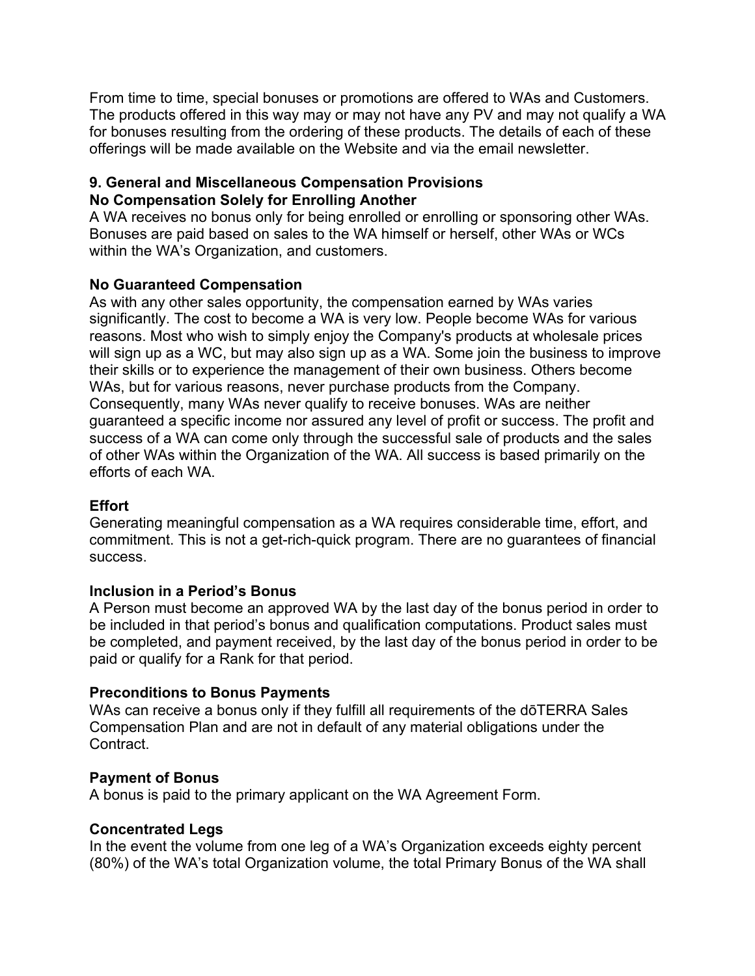From time to time, special bonuses or promotions are offered to WAs and Customers. The products offered in this way may or may not have any PV and may not qualify a WA for bonuses resulting from the ordering of these products. The details of each of these offerings will be made available on the Website and via the email newsletter.

#### **9. General and Miscellaneous Compensation Provisions No Compensation Solely for Enrolling Another**

A WA receives no bonus only for being enrolled or enrolling or sponsoring other WAs. Bonuses are paid based on sales to the WA himself or herself, other WAs or WCs within the WA's Organization, and customers.

## **No Guaranteed Compensation**

As with any other sales opportunity, the compensation earned by WAs varies significantly. The cost to become a WA is very low. People become WAs for various reasons. Most who wish to simply enjoy the Company's products at wholesale prices will sign up as a WC, but may also sign up as a WA. Some join the business to improve their skills or to experience the management of their own business. Others become WAs, but for various reasons, never purchase products from the Company. Consequently, many WAs never qualify to receive bonuses. WAs are neither guaranteed a specific income nor assured any level of profit or success. The profit and success of a WA can come only through the successful sale of products and the sales of other WAs within the Organization of the WA. All success is based primarily on the efforts of each WA.

## **Effort**

Generating meaningful compensation as a WA requires considerable time, effort, and commitment. This is not a get-rich-quick program. There are no guarantees of financial success.

## **Inclusion in a Period's Bonus**

A Person must become an approved WA by the last day of the bonus period in order to be included in that period's bonus and qualification computations. Product sales must be completed, and payment received, by the last day of the bonus period in order to be paid or qualify for a Rank for that period.

## **Preconditions to Bonus Payments**

WAs can receive a bonus only if they fulfill all requirements of the dōTERRA Sales Compensation Plan and are not in default of any material obligations under the Contract.

## **Payment of Bonus**

A bonus is paid to the primary applicant on the WA Agreement Form.

## **Concentrated Legs**

In the event the volume from one leg of a WA's Organization exceeds eighty percent (80%) of the WA's total Organization volume, the total Primary Bonus of the WA shall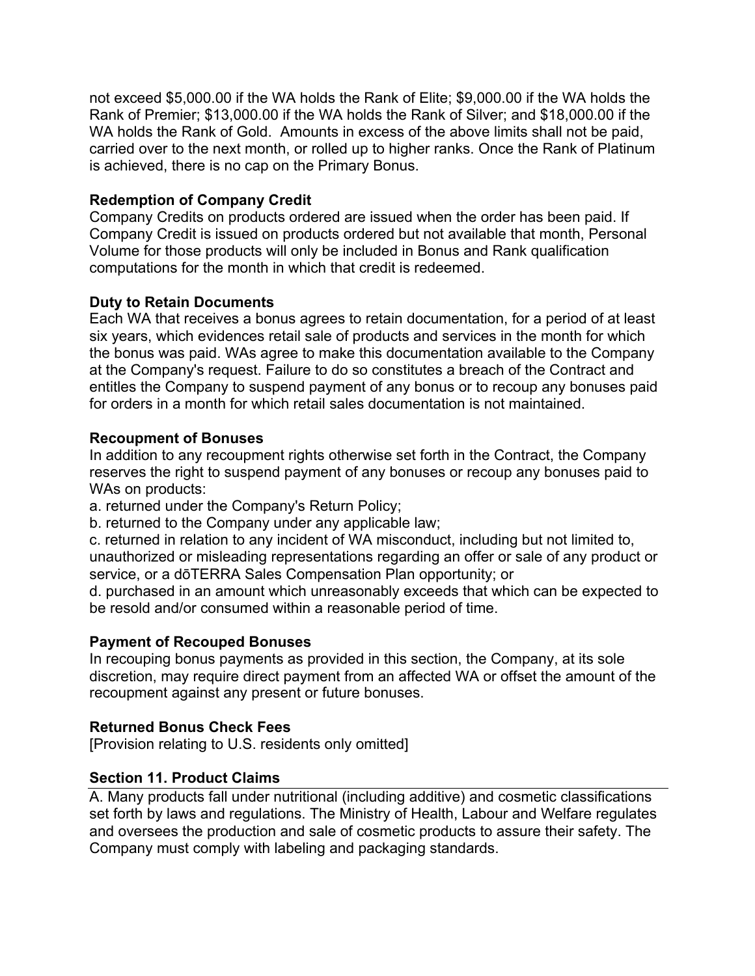not exceed \$5,000.00 if the WA holds the Rank of Elite; \$9,000.00 if the WA holds the Rank of Premier; \$13,000.00 if the WA holds the Rank of Silver; and \$18,000.00 if the WA holds the Rank of Gold. Amounts in excess of the above limits shall not be paid, carried over to the next month, or rolled up to higher ranks. Once the Rank of Platinum is achieved, there is no cap on the Primary Bonus.

## **Redemption of Company Credit**

Company Credits on products ordered are issued when the order has been paid. If Company Credit is issued on products ordered but not available that month, Personal Volume for those products will only be included in Bonus and Rank qualification computations for the month in which that credit is redeemed.

## **Duty to Retain Documents**

Each WA that receives a bonus agrees to retain documentation, for a period of at least six years, which evidences retail sale of products and services in the month for which the bonus was paid. WAs agree to make this documentation available to the Company at the Company's request. Failure to do so constitutes a breach of the Contract and entitles the Company to suspend payment of any bonus or to recoup any bonuses paid for orders in a month for which retail sales documentation is not maintained.

## **Recoupment of Bonuses**

In addition to any recoupment rights otherwise set forth in the Contract, the Company reserves the right to suspend payment of any bonuses or recoup any bonuses paid to WAs on products:

a. returned under the Company's Return Policy;

b. returned to the Company under any applicable law;

c. returned in relation to any incident of WA misconduct, including but not limited to, unauthorized or misleading representations regarding an offer or sale of any product or service, or a dōTERRA Sales Compensation Plan opportunity; or

d. purchased in an amount which unreasonably exceeds that which can be expected to be resold and/or consumed within a reasonable period of time.

#### **Payment of Recouped Bonuses**

In recouping bonus payments as provided in this section, the Company, at its sole discretion, may require direct payment from an affected WA or offset the amount of the recoupment against any present or future bonuses.

#### **Returned Bonus Check Fees**

[Provision relating to U.S. residents only omitted]

#### **Section 11. Product Claims**

A. Many products fall under nutritional (including additive) and cosmetic classifications set forth by laws and regulations. The Ministry of Health, Labour and Welfare regulates and oversees the production and sale of cosmetic products to assure their safety. The Company must comply with labeling and packaging standards.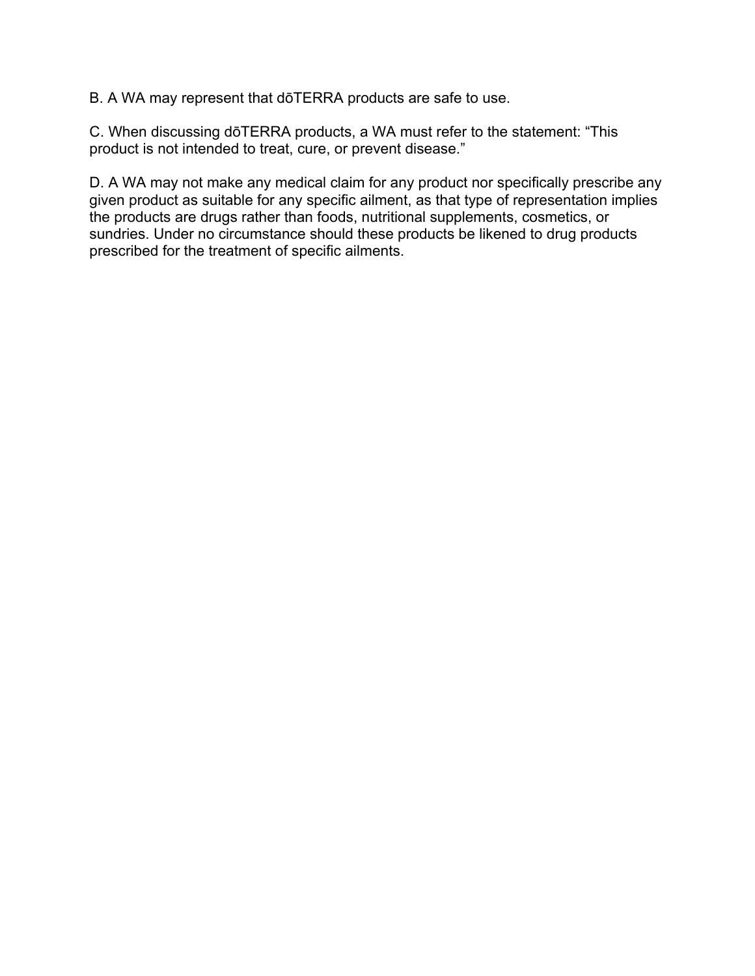B. A WA may represent that dōTERRA products are safe to use.

C. When discussing dōTERRA products, a WA must refer to the statement: "This product is not intended to treat, cure, or prevent disease."

D. A WA may not make any medical claim for any product nor specifically prescribe any given product as suitable for any specific ailment, as that type of representation implies the products are drugs rather than foods, nutritional supplements, cosmetics, or sundries. Under no circumstance should these products be likened to drug products prescribed for the treatment of specific ailments.